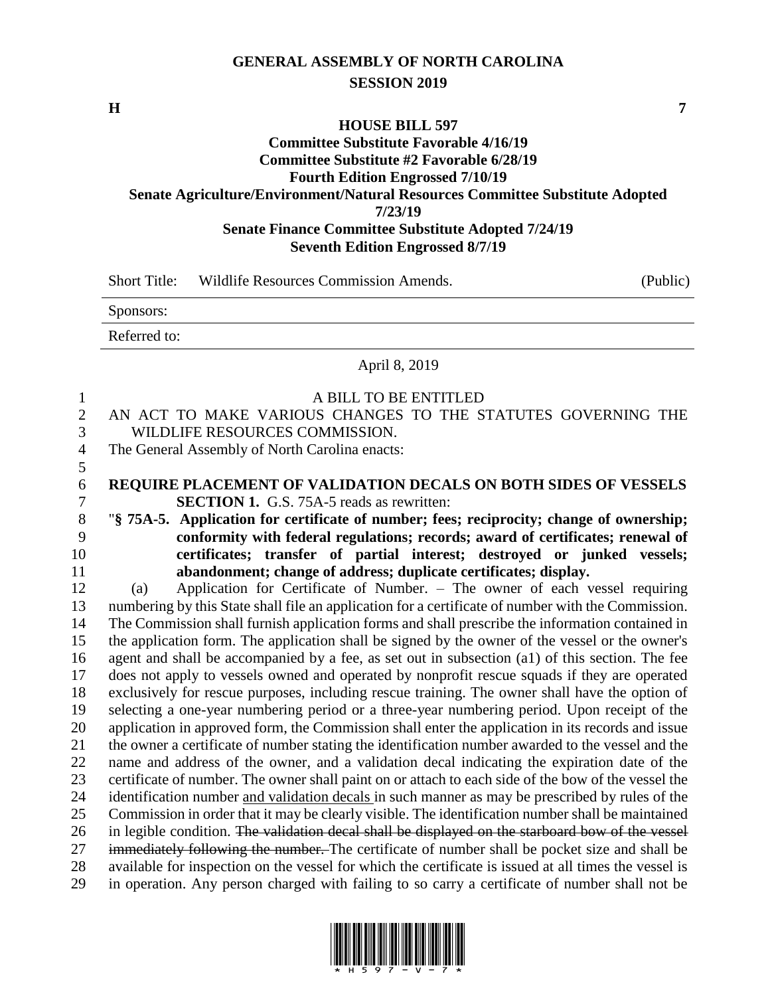# **GENERAL ASSEMBLY OF NORTH CAROLINA SESSION 2019**

**H 7**

5

# **HOUSE BILL 597 Committee Substitute Favorable 4/16/19 Committee Substitute #2 Favorable 6/28/19 Fourth Edition Engrossed 7/10/19 Senate Agriculture/Environment/Natural Resources Committee Substitute Adopted 7/23/19 Senate Finance Committee Substitute Adopted 7/24/19 Seventh Edition Engrossed 8/7/19**

| Short Title: | Wildlife Resources Commission Amends. | (Public) |
|--------------|---------------------------------------|----------|
| Sponsors:    |                                       |          |
| Referred to: |                                       |          |

April 8, 2019

#### 1 A BILL TO BE ENTITLED

2 AN ACT TO MAKE VARIOUS CHANGES TO THE STATUTES GOVERNING THE 3 WILDLIFE RESOURCES COMMISSION.

4 The General Assembly of North Carolina enacts:

## 6 **REQUIRE PLACEMENT OF VALIDATION DECALS ON BOTH SIDES OF VESSELS** 7 **SECTION 1.** G.S. 75A-5 reads as rewritten:

 "**§ 75A-5. Application for certificate of number; fees; reciprocity; change of ownership; conformity with federal regulations; records; award of certificates; renewal of certificates; transfer of partial interest; destroyed or junked vessels; abandonment; change of address; duplicate certificates; display.**

 (a) Application for Certificate of Number. – The owner of each vessel requiring numbering by this State shall file an application for a certificate of number with the Commission. The Commission shall furnish application forms and shall prescribe the information contained in the application form. The application shall be signed by the owner of the vessel or the owner's agent and shall be accompanied by a fee, as set out in subsection (a1) of this section. The fee does not apply to vessels owned and operated by nonprofit rescue squads if they are operated exclusively for rescue purposes, including rescue training. The owner shall have the option of selecting a one-year numbering period or a three-year numbering period. Upon receipt of the application in approved form, the Commission shall enter the application in its records and issue the owner a certificate of number stating the identification number awarded to the vessel and the name and address of the owner, and a validation decal indicating the expiration date of the certificate of number. The owner shall paint on or attach to each side of the bow of the vessel the identification number and validation decals in such manner as may be prescribed by rules of the Commission in order that it may be clearly visible. The identification number shall be maintained 26 in legible condition. The validation decal shall be displayed on the starboard bow of the vessel 27 immediately following the number. The certificate of number shall be pocket size and shall be available for inspection on the vessel for which the certificate is issued at all times the vessel is in operation. Any person charged with failing to so carry a certificate of number shall not be

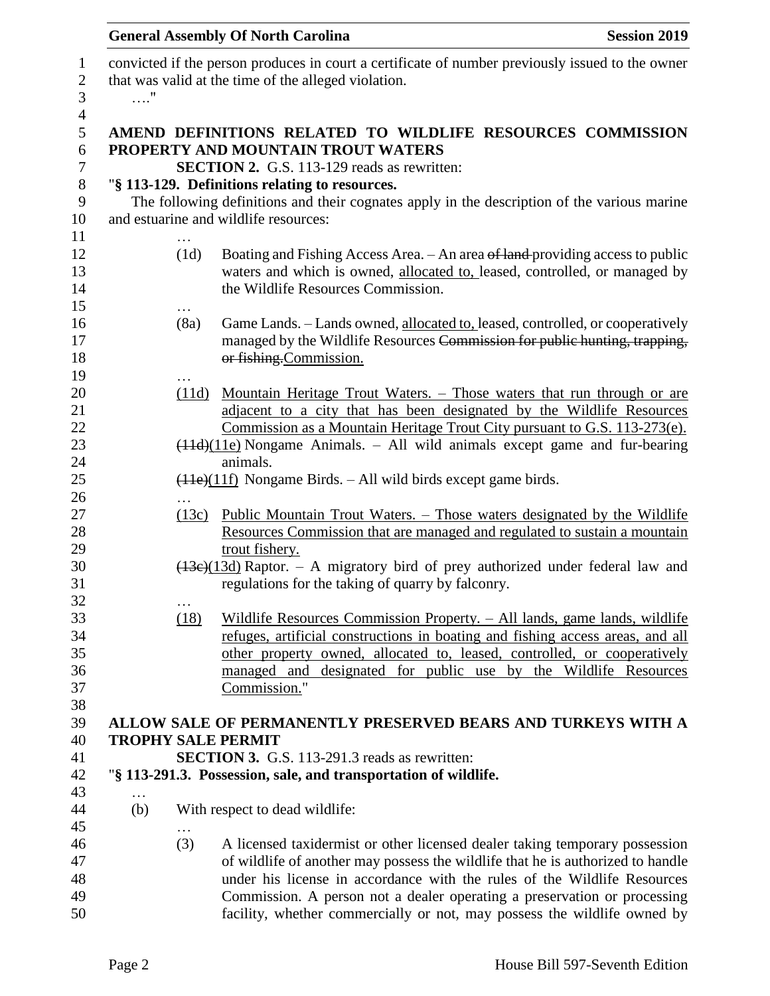|                 |            | <b>General Assembly Of North Carolina</b>                                                                                                                                                                                                                                                                                                                                                          | <b>Session 2019</b> |
|-----------------|------------|----------------------------------------------------------------------------------------------------------------------------------------------------------------------------------------------------------------------------------------------------------------------------------------------------------------------------------------------------------------------------------------------------|---------------------|
| . "             |            | convicted if the person produces in court a certificate of number previously issued to the owner<br>that was valid at the time of the alleged violation.                                                                                                                                                                                                                                           |                     |
|                 |            | AMEND DEFINITIONS RELATED TO WILDLIFE RESOURCES COMMISSION<br>PROPERTY AND MOUNTAIN TROUT WATERS<br><b>SECTION 2.</b> G.S. 113-129 reads as rewritten:                                                                                                                                                                                                                                             |                     |
|                 |            | "§ 113-129. Definitions relating to resources.<br>The following definitions and their cognates apply in the description of the various marine<br>and estuarine and wildlife resources:                                                                                                                                                                                                             |                     |
|                 | .<br>(1d)  | Boating and Fishing Access Area. - An area of land providing access to public<br>waters and which is owned, allocated to, leased, controlled, or managed by<br>the Wildlife Resources Commission.                                                                                                                                                                                                  |                     |
|                 | (8a)       | Game Lands. - Lands owned, allocated to, leased, controlled, or cooperatively<br>managed by the Wildlife Resources Commission for public hunting, trapping,<br>or fishing. Commission.                                                                                                                                                                                                             |                     |
|                 | .<br>(11d) | <u>Mountain Heritage Trout Waters. – Those waters that run through or are</u><br>adjacent to a city that has been designated by the Wildlife Resources<br>Commission as a Mountain Heritage Trout City pursuant to G.S. 113-273(e).                                                                                                                                                                |                     |
|                 | .          | $(11d)(11e)$ Nongame Animals. – All wild animals except game and fur-bearing<br>animals.<br>$\frac{(11e)(11f)}{(11f)}$ Nongame Birds. - All wild birds except game birds.                                                                                                                                                                                                                          |                     |
|                 | (13c)      | <u> Public Mountain Trout Waters. – Those waters designated by the Wildlife</u><br>Resources Commission that are managed and regulated to sustain a mountain<br>trout fishery.                                                                                                                                                                                                                     |                     |
|                 | $\cdots$   | $(13e)(13d)$ Raptor. – A migratory bird of prey authorized under federal law and<br>regulations for the taking of quarry by falconry.                                                                                                                                                                                                                                                              |                     |
|                 | (18)       | <u> Wildlife Resources Commission Property. – All lands, game lands, wildlife</u><br>refuges, artificial constructions in boating and fishing access areas, and all<br>other property owned, allocated to, leased, controlled, or cooperatively<br>managed and designated for public use by the Wildlife Resources<br>Commission."                                                                 |                     |
|                 |            | ALLOW SALE OF PERMANENTLY PRESERVED BEARS AND TURKEYS WITH A<br><b>TROPHY SALE PERMIT</b>                                                                                                                                                                                                                                                                                                          |                     |
|                 |            | <b>SECTION 3.</b> G.S. 113-291.3 reads as rewritten:<br>"§ 113-291.3. Possession, sale, and transportation of wildlife.                                                                                                                                                                                                                                                                            |                     |
| $\cdots$<br>(b) |            | With respect to dead wildlife:                                                                                                                                                                                                                                                                                                                                                                     |                     |
|                 | (3)        | A licensed taxidermist or other licensed dealer taking temporary possession<br>of wildlife of another may possess the wildlife that he is authorized to handle<br>under his license in accordance with the rules of the Wildlife Resources<br>Commission. A person not a dealer operating a preservation or processing<br>facility, whether commercially or not, may possess the wildlife owned by |                     |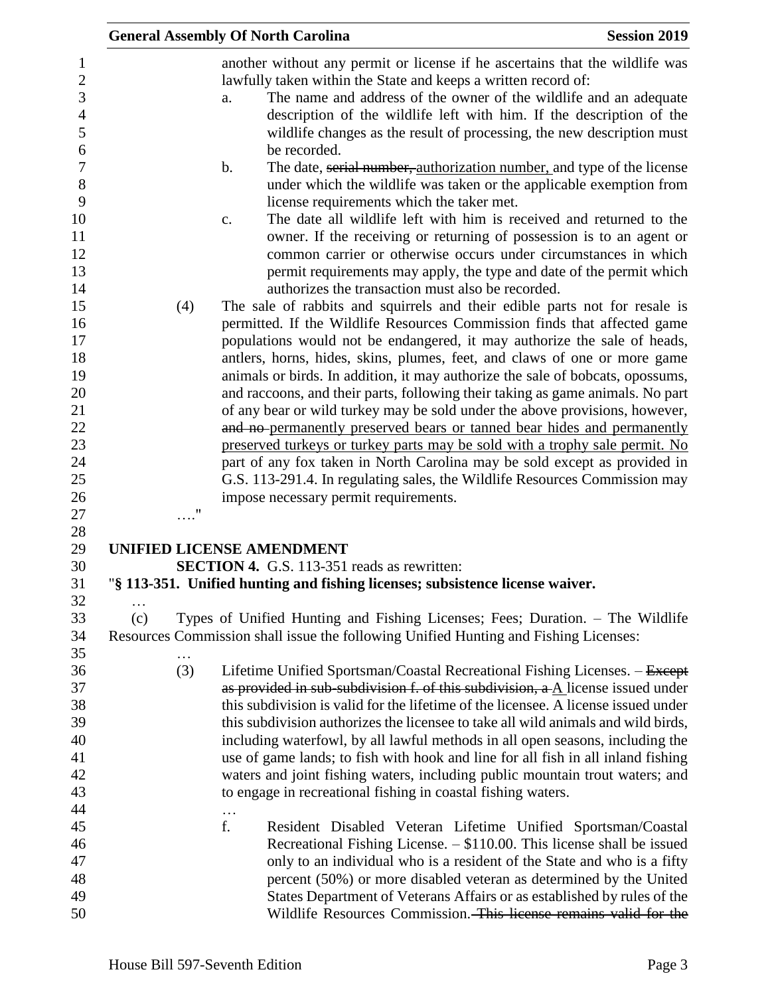|                                                                                                                                                                                                |                          | <b>General Assembly Of North Carolina</b>                                                                                                                                                                                                                                                                                                                                                                                                                                                                                                                                                                                                                                                                                                                                                                                                                                                                                                                                                                                                                                                                                                                                                                                                                                                                                                                                                                                                                                                                                                                                                                                                                                                                                                                                                                                                                                                           | <b>Session 2019</b> |
|------------------------------------------------------------------------------------------------------------------------------------------------------------------------------------------------|--------------------------|-----------------------------------------------------------------------------------------------------------------------------------------------------------------------------------------------------------------------------------------------------------------------------------------------------------------------------------------------------------------------------------------------------------------------------------------------------------------------------------------------------------------------------------------------------------------------------------------------------------------------------------------------------------------------------------------------------------------------------------------------------------------------------------------------------------------------------------------------------------------------------------------------------------------------------------------------------------------------------------------------------------------------------------------------------------------------------------------------------------------------------------------------------------------------------------------------------------------------------------------------------------------------------------------------------------------------------------------------------------------------------------------------------------------------------------------------------------------------------------------------------------------------------------------------------------------------------------------------------------------------------------------------------------------------------------------------------------------------------------------------------------------------------------------------------------------------------------------------------------------------------------------------------|---------------------|
| 1<br>$\overline{2}$<br>3<br>$\overline{4}$<br>5<br>6<br>$\boldsymbol{7}$<br>8<br>9<br>10<br>11<br>12<br>13<br>14<br>15<br>16<br>17<br>18<br>19<br>20<br>21<br>22<br>23<br>24<br>25<br>26<br>27 | (4)<br>$^{\prime\prime}$ | another without any permit or license if he ascertains that the wildlife was<br>lawfully taken within the State and keeps a written record of:<br>The name and address of the owner of the wildlife and an adequate<br>a.<br>description of the wildlife left with him. If the description of the<br>wildlife changes as the result of processing, the new description must<br>be recorded.<br>$\mathbf b$ .<br>The date, serial number, authorization number, and type of the license<br>under which the wildlife was taken or the applicable exemption from<br>license requirements which the taker met.<br>The date all wildlife left with him is received and returned to the<br>c.<br>owner. If the receiving or returning of possession is to an agent or<br>common carrier or otherwise occurs under circumstances in which<br>permit requirements may apply, the type and date of the permit which<br>authorizes the transaction must also be recorded.<br>The sale of rabbits and squirrels and their edible parts not for resale is<br>permitted. If the Wildlife Resources Commission finds that affected game<br>populations would not be endangered, it may authorize the sale of heads,<br>antlers, horns, hides, skins, plumes, feet, and claws of one or more game<br>animals or birds. In addition, it may authorize the sale of bobcats, opossums,<br>and raccoons, and their parts, following their taking as game animals. No part<br>of any bear or wild turkey may be sold under the above provisions, however,<br>and no-permanently preserved bears or tanned bear hides and permanently<br>preserved turkeys or turkey parts may be sold with a trophy sale permit. No<br>part of any fox taken in North Carolina may be sold except as provided in<br>G.S. 113-291.4. In regulating sales, the Wildlife Resources Commission may<br>impose necessary permit requirements. |                     |
| 28                                                                                                                                                                                             |                          |                                                                                                                                                                                                                                                                                                                                                                                                                                                                                                                                                                                                                                                                                                                                                                                                                                                                                                                                                                                                                                                                                                                                                                                                                                                                                                                                                                                                                                                                                                                                                                                                                                                                                                                                                                                                                                                                                                     |                     |
| 29                                                                                                                                                                                             |                          | <b>UNIFIED LICENSE AMENDMENT</b>                                                                                                                                                                                                                                                                                                                                                                                                                                                                                                                                                                                                                                                                                                                                                                                                                                                                                                                                                                                                                                                                                                                                                                                                                                                                                                                                                                                                                                                                                                                                                                                                                                                                                                                                                                                                                                                                    |                     |
| 30                                                                                                                                                                                             |                          | <b>SECTION 4.</b> G.S. 113-351 reads as rewritten:                                                                                                                                                                                                                                                                                                                                                                                                                                                                                                                                                                                                                                                                                                                                                                                                                                                                                                                                                                                                                                                                                                                                                                                                                                                                                                                                                                                                                                                                                                                                                                                                                                                                                                                                                                                                                                                  |                     |
| 31<br>32<br>.                                                                                                                                                                                  |                          | "§ 113-351. Unified hunting and fishing licenses; subsistence license waiver.                                                                                                                                                                                                                                                                                                                                                                                                                                                                                                                                                                                                                                                                                                                                                                                                                                                                                                                                                                                                                                                                                                                                                                                                                                                                                                                                                                                                                                                                                                                                                                                                                                                                                                                                                                                                                       |                     |
| 33<br>(c)<br>34                                                                                                                                                                                |                          | Types of Unified Hunting and Fishing Licenses; Fees; Duration. - The Wildlife<br>Resources Commission shall issue the following Unified Hunting and Fishing Licenses:                                                                                                                                                                                                                                                                                                                                                                                                                                                                                                                                                                                                                                                                                                                                                                                                                                                                                                                                                                                                                                                                                                                                                                                                                                                                                                                                                                                                                                                                                                                                                                                                                                                                                                                               |                     |
| 35<br>36<br>37<br>38<br>39<br>40<br>41<br>42<br>43                                                                                                                                             | .<br>(3)                 | Lifetime Unified Sportsman/Coastal Recreational Fishing Licenses. - Except<br>as provided in sub-subdivision f. of this subdivision, a A license issued under<br>this subdivision is valid for the lifetime of the licensee. A license issued under<br>this subdivision authorizes the licensee to take all wild animals and wild birds,<br>including waterfowl, by all lawful methods in all open seasons, including the<br>use of game lands; to fish with hook and line for all fish in all inland fishing<br>waters and joint fishing waters, including public mountain trout waters; and<br>to engage in recreational fishing in coastal fishing waters.                                                                                                                                                                                                                                                                                                                                                                                                                                                                                                                                                                                                                                                                                                                                                                                                                                                                                                                                                                                                                                                                                                                                                                                                                                       |                     |
| 44<br>45<br>46<br>47<br>48<br>49<br>50                                                                                                                                                         |                          | f.<br>Resident Disabled Veteran Lifetime Unified Sportsman/Coastal<br>Recreational Fishing License. - \$110.00. This license shall be issued<br>only to an individual who is a resident of the State and who is a fifty<br>percent (50%) or more disabled veteran as determined by the United<br>States Department of Veterans Affairs or as established by rules of the<br>Wildlife Resources Commission. This license remains valid for the                                                                                                                                                                                                                                                                                                                                                                                                                                                                                                                                                                                                                                                                                                                                                                                                                                                                                                                                                                                                                                                                                                                                                                                                                                                                                                                                                                                                                                                       |                     |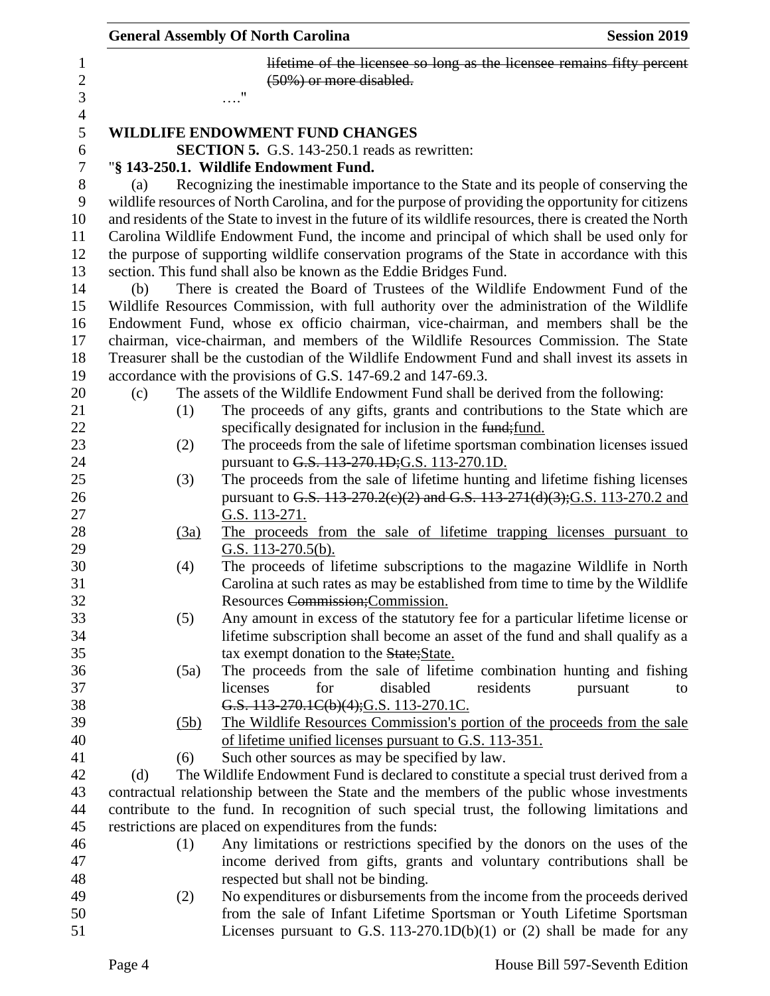|     |      | <b>General Assembly Of North Carolina</b>                                                                                                                  | <b>Session 2019</b> |
|-----|------|------------------------------------------------------------------------------------------------------------------------------------------------------------|---------------------|
|     |      | lifetime of the licensee so long as the licensee remains fifty percent<br>(50%) or more disabled.                                                          |                     |
|     |      |                                                                                                                                                            |                     |
|     |      | WILDLIFE ENDOWMENT FUND CHANGES                                                                                                                            |                     |
|     |      | <b>SECTION 5.</b> G.S. 143-250.1 reads as rewritten:                                                                                                       |                     |
|     |      | "§ 143-250.1. Wildlife Endowment Fund.                                                                                                                     |                     |
| (a) |      | Recognizing the inestimable importance to the State and its people of conserving the                                                                       |                     |
|     |      | wildlife resources of North Carolina, and for the purpose of providing the opportunity for citizens                                                        |                     |
|     |      | and residents of the State to invest in the future of its wildlife resources, there is created the North                                                   |                     |
|     |      | Carolina Wildlife Endowment Fund, the income and principal of which shall be used only for                                                                 |                     |
|     |      | the purpose of supporting wildlife conservation programs of the State in accordance with this                                                              |                     |
|     |      | section. This fund shall also be known as the Eddie Bridges Fund.                                                                                          |                     |
| (b) |      | There is created the Board of Trustees of the Wildlife Endowment Fund of the                                                                               |                     |
|     |      | Wildlife Resources Commission, with full authority over the administration of the Wildlife                                                                 |                     |
|     |      | Endowment Fund, whose ex officio chairman, vice-chairman, and members shall be the                                                                         |                     |
|     |      | chairman, vice-chairman, and members of the Wildlife Resources Commission. The State                                                                       |                     |
|     |      | Treasurer shall be the custodian of the Wildlife Endowment Fund and shall invest its assets in                                                             |                     |
|     |      | accordance with the provisions of G.S. 147-69.2 and 147-69.3.                                                                                              |                     |
| (c) |      | The assets of the Wildlife Endowment Fund shall be derived from the following:                                                                             |                     |
|     | (1)  | The proceeds of any gifts, grants and contributions to the State which are                                                                                 |                     |
|     |      | specifically designated for inclusion in the fund; fund.                                                                                                   |                     |
|     | (2)  | The proceeds from the sale of lifetime sportsman combination licenses issued                                                                               |                     |
|     |      | pursuant to G.S. 113-270.1D; G.S. 113-270.1D.                                                                                                              |                     |
|     | (3)  | The proceeds from the sale of lifetime hunting and lifetime fishing licenses                                                                               |                     |
|     |      | pursuant to G.S. 113-270.2(e)(2) and G.S. 113-271(d)(3); G.S. 113-270.2 and                                                                                |                     |
|     |      | G.S. 113-271.                                                                                                                                              |                     |
|     | (3a) | The proceeds from the sale of lifetime trapping licenses pursuant to                                                                                       |                     |
|     |      | G.S. 113-270.5(b).                                                                                                                                         |                     |
|     | (4)  | The proceeds of lifetime subscriptions to the magazine Wildlife in North<br>Carolina at such rates as may be established from time to time by the Wildlife |                     |
|     |      | Resources Commission; Commission.                                                                                                                          |                     |
|     | (5)  | Any amount in excess of the statutory fee for a particular lifetime license or                                                                             |                     |
|     |      | lifetime subscription shall become an asset of the fund and shall qualify as a                                                                             |                     |
|     |      | tax exempt donation to the State; State.                                                                                                                   |                     |
|     | (5a) | The proceeds from the sale of lifetime combination hunting and fishing                                                                                     |                     |
|     |      | licenses<br>disabled<br>residents<br>for<br>pursuant                                                                                                       | to                  |
|     |      | G.S. 113-270.1C(b)(4); G.S. 113-270.1C.                                                                                                                    |                     |
|     | (5b) | The Wildlife Resources Commission's portion of the proceeds from the sale                                                                                  |                     |
|     |      | of lifetime unified licenses pursuant to G.S. 113-351.                                                                                                     |                     |
|     | (6)  | Such other sources as may be specified by law.                                                                                                             |                     |
| (d) |      | The Wildlife Endowment Fund is declared to constitute a special trust derived from a                                                                       |                     |
|     |      | contractual relationship between the State and the members of the public whose investments                                                                 |                     |
|     |      | contribute to the fund. In recognition of such special trust, the following limitations and                                                                |                     |
|     |      | restrictions are placed on expenditures from the funds:                                                                                                    |                     |
|     | (1)  | Any limitations or restrictions specified by the donors on the uses of the                                                                                 |                     |
|     |      | income derived from gifts, grants and voluntary contributions shall be                                                                                     |                     |
|     |      | respected but shall not be binding.                                                                                                                        |                     |
|     | (2)  | No expenditures or disbursements from the income from the proceeds derived                                                                                 |                     |
|     |      | from the sale of Infant Lifetime Sportsman or Youth Lifetime Sportsman                                                                                     |                     |
|     |      | Licenses pursuant to G.S. 113-270.1D(b)(1) or (2) shall be made for any                                                                                    |                     |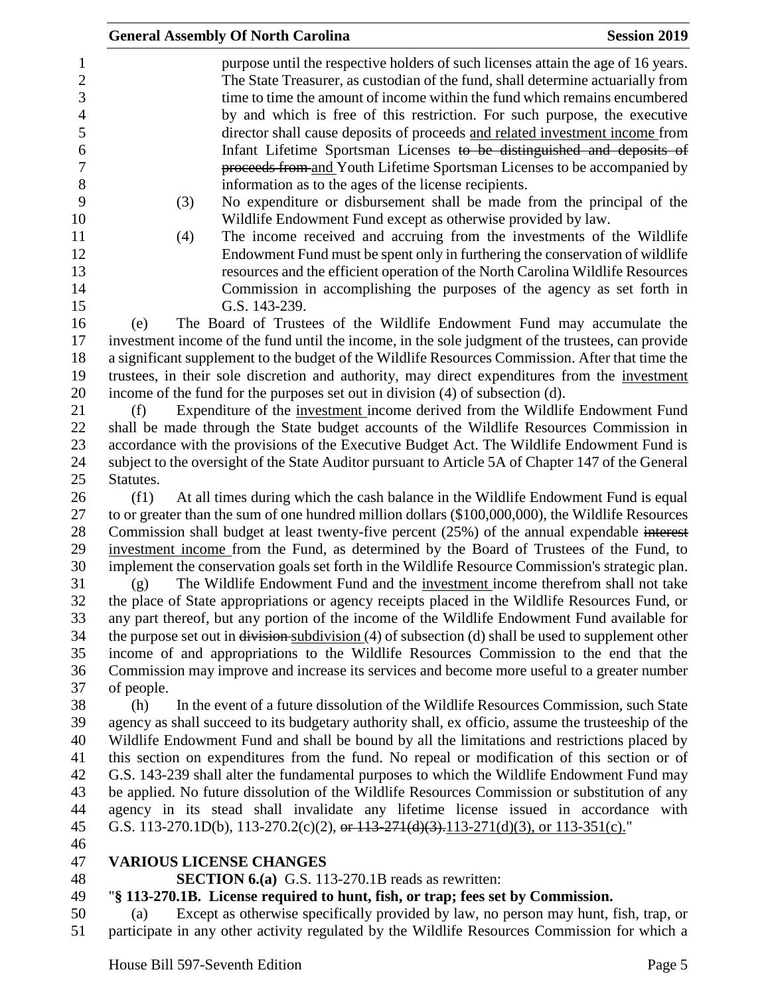|                                                                                 | <b>General Assembly Of North Carolina</b><br><b>Session 2019</b>                                                                                                                                                                                                                                                                                                                                                                                                                                                                                                                                                                                                                                                                                                                |
|---------------------------------------------------------------------------------|---------------------------------------------------------------------------------------------------------------------------------------------------------------------------------------------------------------------------------------------------------------------------------------------------------------------------------------------------------------------------------------------------------------------------------------------------------------------------------------------------------------------------------------------------------------------------------------------------------------------------------------------------------------------------------------------------------------------------------------------------------------------------------|
| 1<br>$\sqrt{2}$<br>3<br>$\overline{\mathcal{A}}$<br>5<br>6<br>7<br>8<br>9<br>10 | purpose until the respective holders of such licenses attain the age of 16 years.<br>The State Treasurer, as custodian of the fund, shall determine actuarially from<br>time to time the amount of income within the fund which remains encumbered<br>by and which is free of this restriction. For such purpose, the executive<br>director shall cause deposits of proceeds and related investment income from<br>Infant Lifetime Sportsman Licenses to be distinguished and deposits of<br>proceeds from and Youth Lifetime Sportsman Licenses to be accompanied by<br>information as to the ages of the license recipients.<br>No expenditure or disbursement shall be made from the principal of the<br>(3)<br>Wildlife Endowment Fund except as otherwise provided by law. |
| 11<br>12                                                                        | The income received and accruing from the investments of the Wildlife<br>(4)                                                                                                                                                                                                                                                                                                                                                                                                                                                                                                                                                                                                                                                                                                    |
| 13<br>14<br>15                                                                  | Endowment Fund must be spent only in furthering the conservation of wildlife<br>resources and the efficient operation of the North Carolina Wildlife Resources<br>Commission in accomplishing the purposes of the agency as set forth in<br>G.S. 143-239.                                                                                                                                                                                                                                                                                                                                                                                                                                                                                                                       |
| 16<br>17<br>18<br>19<br>20                                                      | The Board of Trustees of the Wildlife Endowment Fund may accumulate the<br>(e)<br>investment income of the fund until the income, in the sole judgment of the trustees, can provide<br>a significant supplement to the budget of the Wildlife Resources Commission. After that time the<br>trustees, in their sole discretion and authority, may direct expenditures from the investment<br>income of the fund for the purposes set out in division (4) of subsection (d).                                                                                                                                                                                                                                                                                                      |
| 21<br>22<br>23<br>24<br>25                                                      | Expenditure of the investment income derived from the Wildlife Endowment Fund<br>(f)<br>shall be made through the State budget accounts of the Wildlife Resources Commission in<br>accordance with the provisions of the Executive Budget Act. The Wildlife Endowment Fund is<br>subject to the oversight of the State Auditor pursuant to Article 5A of Chapter 147 of the General<br>Statutes.                                                                                                                                                                                                                                                                                                                                                                                |
| 26<br>27<br>28<br>29<br>30<br>31                                                | At all times during which the cash balance in the Wildlife Endowment Fund is equal<br>(f1)<br>to or greater than the sum of one hundred million dollars (\$100,000,000), the Wildlife Resources<br>Commission shall budget at least twenty-five percent (25%) of the annual expendable interest<br>investment income from the Fund, as determined by the Board of Trustees of the Fund, to<br>implement the conservation goals set forth in the Wildlife Resource Commission's strategic plan.                                                                                                                                                                                                                                                                                  |
| 32<br>33<br>34<br>35<br>36                                                      | The Wildlife Endowment Fund and the investment income therefrom shall not take<br>(g)<br>the place of State appropriations or agency receipts placed in the Wildlife Resources Fund, or<br>any part thereof, but any portion of the income of the Wildlife Endowment Fund available for<br>the purpose set out in $\frac{division \text{subdivision}}{4}$ of subsection (d) shall be used to supplement other<br>income of and appropriations to the Wildlife Resources Commission to the end that the<br>Commission may improve and increase its services and become more useful to a greater number                                                                                                                                                                           |
| 37<br>38<br>39                                                                  | of people.<br>In the event of a future dissolution of the Wildlife Resources Commission, such State<br>(h)<br>agency as shall succeed to its budgetary authority shall, ex officio, assume the trusteeship of the                                                                                                                                                                                                                                                                                                                                                                                                                                                                                                                                                               |
| 40<br>41                                                                        | Wildlife Endowment Fund and shall be bound by all the limitations and restrictions placed by<br>this section on expenditures from the fund. No repeal or modification of this section or of                                                                                                                                                                                                                                                                                                                                                                                                                                                                                                                                                                                     |
| 42<br>43<br>44<br>45<br>46                                                      | G.S. 143-239 shall alter the fundamental purposes to which the Wildlife Endowment Fund may<br>be applied. No future dissolution of the Wildlife Resources Commission or substitution of any<br>agency in its stead shall invalidate any lifetime license issued in accordance with<br>G.S. 113-270.1D(b), 113-270.2(c)(2), or $113-271(d)(3)$ , $113-271(d)(3)$ , or $113-351(c)$ ."                                                                                                                                                                                                                                                                                                                                                                                            |
| 47                                                                              | <b>VARIOUS LICENSE CHANGES</b>                                                                                                                                                                                                                                                                                                                                                                                                                                                                                                                                                                                                                                                                                                                                                  |
| 48                                                                              | <b>SECTION 6.(a)</b> G.S. 113-270.1B reads as rewritten:                                                                                                                                                                                                                                                                                                                                                                                                                                                                                                                                                                                                                                                                                                                        |
| 49                                                                              | "§ 113-270.1B. License required to hunt, fish, or trap; fees set by Commission.                                                                                                                                                                                                                                                                                                                                                                                                                                                                                                                                                                                                                                                                                                 |
| 50<br>51                                                                        | Except as otherwise specifically provided by law, no person may hunt, fish, trap, or<br>(a)<br>participate in any other activity regulated by the Wildlife Resources Commission for which a                                                                                                                                                                                                                                                                                                                                                                                                                                                                                                                                                                                     |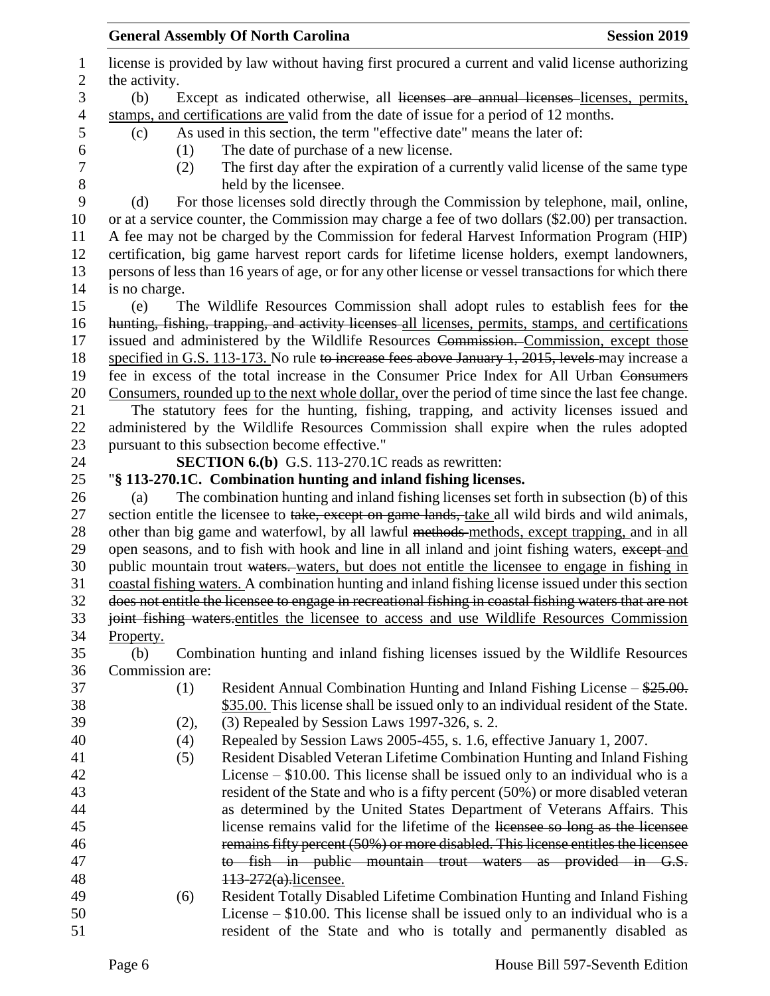|                  |                 | <b>General Assembly Of North Carolina</b>                                                              | <b>Session 2019</b> |
|------------------|-----------------|--------------------------------------------------------------------------------------------------------|---------------------|
| 1                |                 | license is provided by law without having first procured a current and valid license authorizing       |                     |
| $\mathbf{2}$     | the activity.   |                                                                                                        |                     |
| 3                | (b)             | Except as indicated otherwise, all licenses are annual licenses licenses, permits,                     |                     |
| $\overline{4}$   |                 | stamps, and certifications are valid from the date of issue for a period of 12 months.                 |                     |
| 5                | (c)             | As used in this section, the term "effective date" means the later of:                                 |                     |
| 6                | (1)             | The date of purchase of a new license.                                                                 |                     |
| $\boldsymbol{7}$ | (2)             | The first day after the expiration of a currently valid license of the same type                       |                     |
| 8                |                 | held by the licensee.                                                                                  |                     |
| 9                | (d)             | For those licenses sold directly through the Commission by telephone, mail, online,                    |                     |
| 10               |                 | or at a service counter, the Commission may charge a fee of two dollars (\$2.00) per transaction.      |                     |
| 11               |                 | A fee may not be charged by the Commission for federal Harvest Information Program (HIP)               |                     |
| 12               |                 | certification, big game harvest report cards for lifetime license holders, exempt landowners,          |                     |
| 13               |                 | persons of less than 16 years of age, or for any other license or vessel transactions for which there  |                     |
| 14               | is no charge.   |                                                                                                        |                     |
| 15               | (e)             | The Wildlife Resources Commission shall adopt rules to establish fees for the                          |                     |
| 16               |                 | hunting, fishing, trapping, and activity licenses all licenses, permits, stamps, and certifications    |                     |
| 17               |                 | issued and administered by the Wildlife Resources Commission. Commission, except those                 |                     |
| 18               |                 | specified in G.S. 113-173. No rule to increase fees above January 1, 2015, levels may increase a       |                     |
| 19               |                 | fee in excess of the total increase in the Consumer Price Index for All Urban Consumers                |                     |
| 20               |                 | Consumers, rounded up to the next whole dollar, over the period of time since the last fee change.     |                     |
| 21               |                 | The statutory fees for the hunting, fishing, trapping, and activity licenses issued and                |                     |
| 22               |                 | administered by the Wildlife Resources Commission shall expire when the rules adopted                  |                     |
| 23               |                 | pursuant to this subsection become effective."                                                         |                     |
| 24               |                 | <b>SECTION 6.(b)</b> G.S. 113-270.1C reads as rewritten:                                               |                     |
| 25               |                 | "§ 113-270.1C. Combination hunting and inland fishing licenses.                                        |                     |
| 26               | (a)             | The combination hunting and inland fishing licenses set forth in subsection (b) of this                |                     |
| 27               |                 | section entitle the licensee to take, except on game lands, take all wild birds and wild animals,      |                     |
| 28               |                 | other than big game and waterfowl, by all lawful methods methods, except trapping, and in all          |                     |
| 29               |                 | open seasons, and to fish with hook and line in all inland and joint fishing waters, except and        |                     |
| 30               |                 | public mountain trout waters. waters, but does not entitle the licensee to engage in fishing in        |                     |
| 31               |                 | coastal fishing waters. A combination hunting and inland fishing license issued under this section     |                     |
| 32               |                 | does not entitle the licensee to engage in recreational fishing in coastal fishing waters that are not |                     |
| 33               |                 | joint fishing waters-entitles the licensee to access and use Wildlife Resources Commission             |                     |
| 34               | Property.       |                                                                                                        |                     |
| 35               | (b)             | Combination hunting and inland fishing licenses issued by the Wildlife Resources                       |                     |
| 36               | Commission are: |                                                                                                        |                     |
| 37               | (1)             | Resident Annual Combination Hunting and Inland Fishing License – \$25.00.                              |                     |
| 38               |                 | \$35.00. This license shall be issued only to an individual resident of the State.                     |                     |
| 39               | (2),            | (3) Repealed by Session Laws 1997-326, s. 2.                                                           |                     |
| 40               | (4)             | Repealed by Session Laws 2005-455, s. 1.6, effective January 1, 2007.                                  |                     |
| 41               | (5)             | Resident Disabled Veteran Lifetime Combination Hunting and Inland Fishing                              |                     |
| 42               |                 | License $-$ \$10.00. This license shall be issued only to an individual who is a                       |                     |
| 43               |                 | resident of the State and who is a fifty percent (50%) or more disabled veteran                        |                     |
| 44               |                 | as determined by the United States Department of Veterans Affairs. This                                |                     |
| 45               |                 | license remains valid for the lifetime of the licensee so long as the licensee                         |                     |
| 46               |                 | remains fifty percent (50%) or more disabled. This license entitles the licensee                       |                     |
| 47               |                 | to fish in public mountain trout waters as provided in G.S.                                            |                     |
| 48               |                 | 113-272(a).licensee.                                                                                   |                     |
| 49               | (6)             | Resident Totally Disabled Lifetime Combination Hunting and Inland Fishing                              |                     |
| 50               |                 | License $-$ \$10.00. This license shall be issued only to an individual who is a                       |                     |
| 51               |                 | resident of the State and who is totally and permanently disabled as                                   |                     |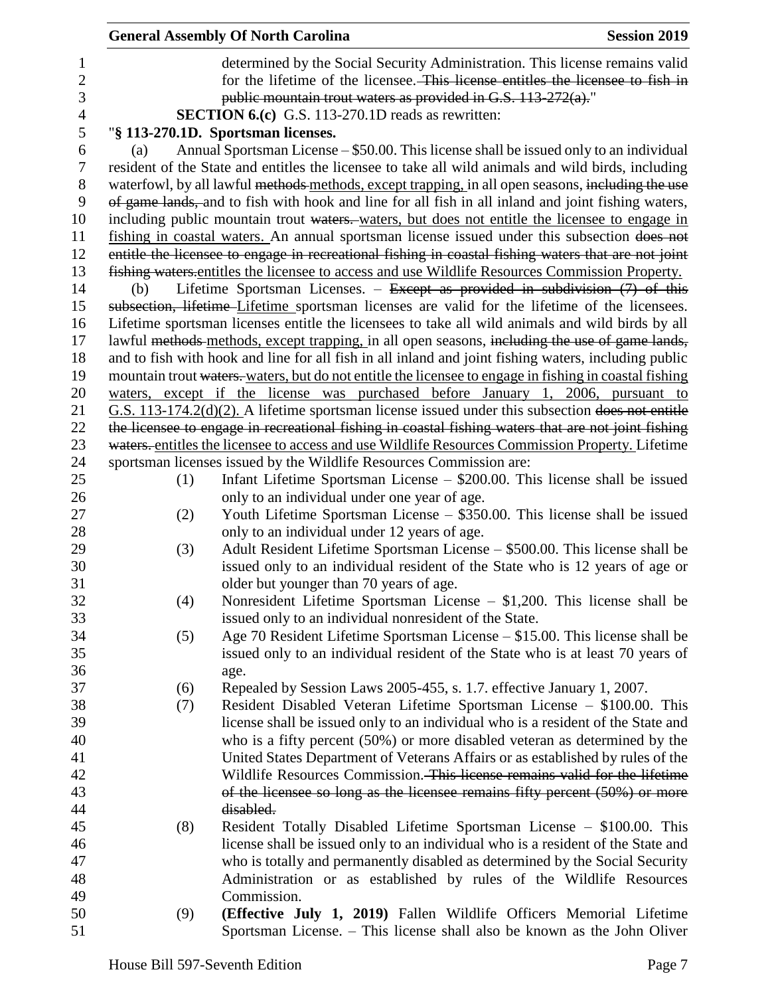|                |     | <b>General Assembly Of North Carolina</b>                                                                                                                      | <b>Session 2019</b> |
|----------------|-----|----------------------------------------------------------------------------------------------------------------------------------------------------------------|---------------------|
| 1              |     | determined by the Social Security Administration. This license remains valid                                                                                   |                     |
| $\overline{c}$ |     | for the lifetime of the licensee. This license entitles the licensee to fish in                                                                                |                     |
| $\overline{3}$ |     | public mountain trout waters as provided in G.S. $113-272(a)$ ."                                                                                               |                     |
| $\overline{4}$ |     | <b>SECTION 6.(c)</b> G.S. 113-270.1D reads as rewritten:                                                                                                       |                     |
| 5              |     | "§ 113-270.1D. Sportsman licenses.                                                                                                                             |                     |
| 6              | (a) | Annual Sportsman License – \$50.00. This license shall be issued only to an individual                                                                         |                     |
| $\tau$         |     | resident of the State and entitles the licensee to take all wild animals and wild birds, including                                                             |                     |
| $8\,$          |     | waterfowl, by all lawful methods methods, except trapping, in all open seasons, including the use                                                              |                     |
| 9              |     | of game lands, and to fish with hook and line for all fish in all inland and joint fishing waters,                                                             |                     |
| 10             |     | including public mountain trout waters. waters, but does not entitle the licensee to engage in                                                                 |                     |
| 11             |     | fishing in coastal waters. An annual sportsman license issued under this subsection does not                                                                   |                     |
| 12             |     | entitle the licensee to engage in recreational fishing in coastal fishing waters that are not joint                                                            |                     |
| 13             |     | fishing waters entitles the licensee to access and use Wildlife Resources Commission Property.                                                                 |                     |
| 14             | (b) | Lifetime Sportsman Licenses. - Except as provided in subdivision $(7)$ of this                                                                                 |                     |
| 15             |     | subsection, lifetime-Lifetime sportsman licenses are valid for the lifetime of the licensees.                                                                  |                     |
| 16             |     | Lifetime sportsman licenses entitle the licensees to take all wild animals and wild birds by all                                                               |                     |
| 17             |     | lawful methods methods, except trapping, in all open seasons, including the use of game lands,                                                                 |                     |
| 18             |     | and to fish with hook and line for all fish in all inland and joint fishing waters, including public                                                           |                     |
| 19             |     | mountain trout waters, waters, but do not entitle the licensee to engage in fishing in coastal fishing                                                         |                     |
| 20             |     | waters, except if the license was purchased before January 1, 2006, pursuant to                                                                                |                     |
| 21             |     | $G.S.$ 113-174.2( $d$ )(2). A lifetime sportsman license issued under this subsection does not entitle                                                         |                     |
| 22             |     | the licensee to engage in recreational fishing in coastal fishing waters that are not joint fishing                                                            |                     |
| 23             |     | waters. entitles the licensee to access and use Wildlife Resources Commission Property. Lifetime                                                               |                     |
| 24             |     | sportsman licenses issued by the Wildlife Resources Commission are:                                                                                            |                     |
| 25             | (1) | Infant Lifetime Sportsman License $-$ \$200.00. This license shall be issued                                                                                   |                     |
| 26             |     | only to an individual under one year of age.                                                                                                                   |                     |
| 27             | (2) | Youth Lifetime Sportsman License – \$350.00. This license shall be issued                                                                                      |                     |
| 28             |     | only to an individual under 12 years of age.                                                                                                                   |                     |
| 29             | (3) | Adult Resident Lifetime Sportsman License – \$500.00. This license shall be                                                                                    |                     |
| 30             |     | issued only to an individual resident of the State who is 12 years of age or                                                                                   |                     |
| 31             |     | older but younger than 70 years of age.                                                                                                                        |                     |
| 32             | (4) | Nonresident Lifetime Sportsman License $-$ \$1,200. This license shall be                                                                                      |                     |
| 33             |     | issued only to an individual nonresident of the State.                                                                                                         |                     |
| 34             | (5) | Age 70 Resident Lifetime Sportsman License – \$15.00. This license shall be                                                                                    |                     |
| 35             |     | issued only to an individual resident of the State who is at least 70 years of                                                                                 |                     |
| 36             |     | age.                                                                                                                                                           |                     |
| 37             | (6) | Repealed by Session Laws 2005-455, s. 1.7. effective January 1, 2007.                                                                                          |                     |
| 38             | (7) | Resident Disabled Veteran Lifetime Sportsman License - \$100.00. This                                                                                          |                     |
| 39<br>40       |     | license shall be issued only to an individual who is a resident of the State and<br>who is a fifty percent (50%) or more disabled veteran as determined by the |                     |
| 41             |     | United States Department of Veterans Affairs or as established by rules of the                                                                                 |                     |
| 42             |     | Wildlife Resources Commission. This license remains valid for the lifetime                                                                                     |                     |
| 43             |     | of the licensee so long as the licensee remains fifty percent (50%) or more                                                                                    |                     |
| 44             |     | disabled.                                                                                                                                                      |                     |
| 45             | (8) | Resident Totally Disabled Lifetime Sportsman License - \$100.00. This                                                                                          |                     |
| 46             |     | license shall be issued only to an individual who is a resident of the State and                                                                               |                     |
| 47             |     | who is totally and permanently disabled as determined by the Social Security                                                                                   |                     |
| 48             |     | Administration or as established by rules of the Wildlife Resources                                                                                            |                     |
| 49             |     | Commission.                                                                                                                                                    |                     |
| 50             | (9) | (Effective July 1, 2019) Fallen Wildlife Officers Memorial Lifetime                                                                                            |                     |
| 51             |     | Sportsman License. – This license shall also be known as the John Oliver                                                                                       |                     |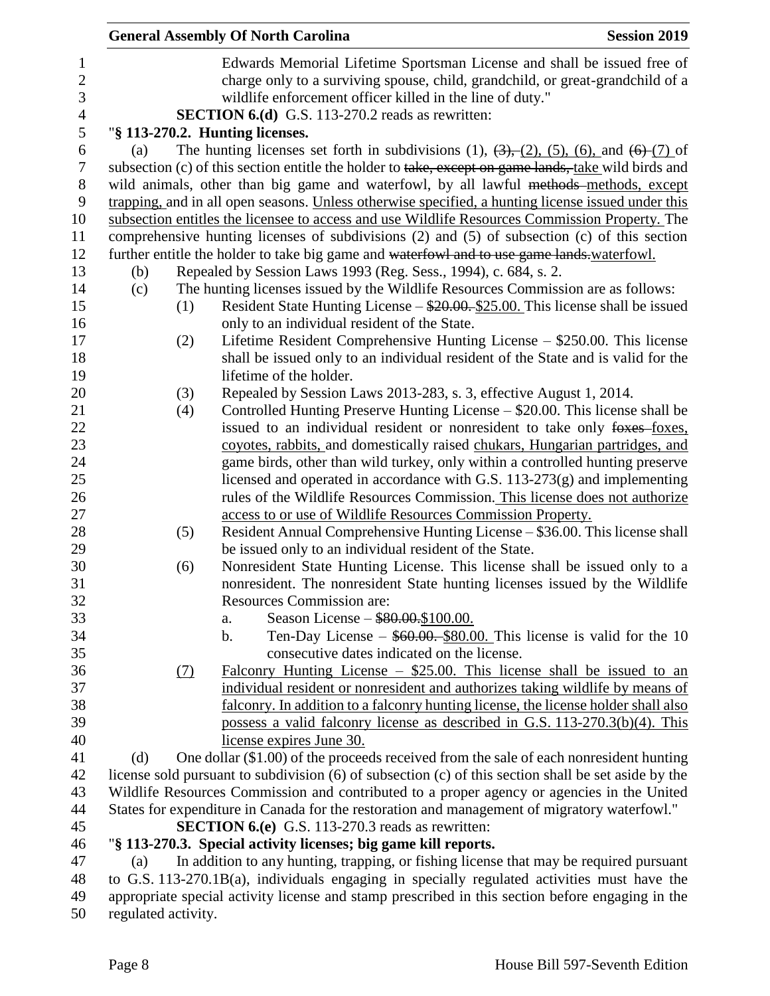|                |     |     | <b>General Assembly Of North Carolina</b>                                                                                                               | <b>Session 2019</b> |
|----------------|-----|-----|---------------------------------------------------------------------------------------------------------------------------------------------------------|---------------------|
| $\mathbf{1}$   |     |     | Edwards Memorial Lifetime Sportsman License and shall be issued free of                                                                                 |                     |
| $\overline{c}$ |     |     | charge only to a surviving spouse, child, grandchild, or great-grandchild of a                                                                          |                     |
| 3              |     |     | wildlife enforcement officer killed in the line of duty."                                                                                               |                     |
| $\overline{4}$ |     |     | <b>SECTION 6.(d)</b> G.S. 113-270.2 reads as rewritten:                                                                                                 |                     |
| 5              |     |     | "§ 113-270.2. Hunting licenses.                                                                                                                         |                     |
| 6              | (a) |     | The hunting licenses set forth in subdivisions (1), $(3)$ , $(2)$ , $(5)$ , $(6)$ , and $(6)$ $(7)$ of                                                  |                     |
| 7              |     |     | subsection (c) of this section entitle the holder to take, except on game lands, take wild birds and                                                    |                     |
| 8              |     |     | wild animals, other than big game and waterfowl, by all lawful methods-methods, except                                                                  |                     |
| 9              |     |     | trapping, and in all open seasons. Unless otherwise specified, a hunting license issued under this                                                      |                     |
| 10             |     |     | subsection entitles the licensee to access and use Wildlife Resources Commission Property. The                                                          |                     |
| 11             |     |     | comprehensive hunting licenses of subdivisions (2) and (5) of subsection (c) of this section                                                            |                     |
| 12             |     |     | further entitle the holder to take big game and waterfowl and to use game lands.waterfowl.                                                              |                     |
| 13             | (b) |     | Repealed by Session Laws 1993 (Reg. Sess., 1994), c. 684, s. 2.                                                                                         |                     |
| 14             | (c) |     | The hunting licenses issued by the Wildlife Resources Commission are as follows:                                                                        |                     |
| 15             |     | (1) | Resident State Hunting License $-\frac{$20.00}{25.00}$ . This license shall be issued                                                                   |                     |
| 16             |     |     | only to an individual resident of the State.                                                                                                            |                     |
| 17             |     | (2) | Lifetime Resident Comprehensive Hunting License – \$250.00. This license                                                                                |                     |
| 18             |     |     | shall be issued only to an individual resident of the State and is valid for the                                                                        |                     |
| 19             |     |     | lifetime of the holder.                                                                                                                                 |                     |
| 20             |     | (3) | Repealed by Session Laws 2013-283, s. 3, effective August 1, 2014.                                                                                      |                     |
| 21             |     | (4) | Controlled Hunting Preserve Hunting License – \$20.00. This license shall be                                                                            |                     |
| 22             |     |     | issued to an individual resident or nonresident to take only foxes-foxes,                                                                               |                     |
| 23             |     |     | coyotes, rabbits, and domestically raised chukars, Hungarian partridges, and                                                                            |                     |
| 24             |     |     | game birds, other than wild turkey, only within a controlled hunting preserve                                                                           |                     |
| 25             |     |     | licensed and operated in accordance with G.S. 113-273(g) and implementing                                                                               |                     |
| 26             |     |     | rules of the Wildlife Resources Commission. This license does not authorize                                                                             |                     |
| 27             |     |     | access to or use of Wildlife Resources Commission Property.                                                                                             |                     |
| 28             |     | (5) | Resident Annual Comprehensive Hunting License – \$36.00. This license shall                                                                             |                     |
| 29<br>30       |     |     | be issued only to an individual resident of the State.                                                                                                  |                     |
| 31             |     | (6) | Nonresident State Hunting License. This license shall be issued only to a<br>nonresident. The nonresident State hunting licenses issued by the Wildlife |                     |
| 32             |     |     | <b>Resources Commission are:</b>                                                                                                                        |                     |
| 33             |     |     | Season License - \$80.00.\$100.00.<br>a.                                                                                                                |                     |
| 34             |     |     | Ten-Day License $-$ \$60.00. \$80.00. This license is valid for the 10<br>b.                                                                            |                     |
| 35             |     |     | consecutive dates indicated on the license.                                                                                                             |                     |
| 36             |     | (7) | Falconry Hunting License $-$ \$25.00. This license shall be issued to an                                                                                |                     |
| 37             |     |     | individual resident or nonresident and authorizes taking wildlife by means of                                                                           |                     |
| 38             |     |     | falconry. In addition to a falconry hunting license, the license holder shall also                                                                      |                     |
| 39             |     |     | possess a valid falconry license as described in G.S. 113-270.3(b)(4). This                                                                             |                     |
| 40             |     |     | license expires June 30.                                                                                                                                |                     |
| 41             | (d) |     | One dollar (\$1.00) of the proceeds received from the sale of each nonresident hunting                                                                  |                     |
| 42             |     |     | license sold pursuant to subdivision (6) of subsection (c) of this section shall be set aside by the                                                    |                     |
| 43             |     |     | Wildlife Resources Commission and contributed to a proper agency or agencies in the United                                                              |                     |
| 44             |     |     | States for expenditure in Canada for the restoration and management of migratory waterfowl."                                                            |                     |
| 45             |     |     | <b>SECTION 6.(e)</b> G.S. 113-270.3 reads as rewritten:                                                                                                 |                     |
| 46             |     |     | "§ 113-270.3. Special activity licenses; big game kill reports.                                                                                         |                     |
| 47             | (a) |     | In addition to any hunting, trapping, or fishing license that may be required pursuant                                                                  |                     |
| 48             |     |     | to G.S. 113-270.1B(a), individuals engaging in specially regulated activities must have the                                                             |                     |
| 49             |     |     | appropriate special activity license and stamp prescribed in this section before engaging in the                                                        |                     |

regulated activity.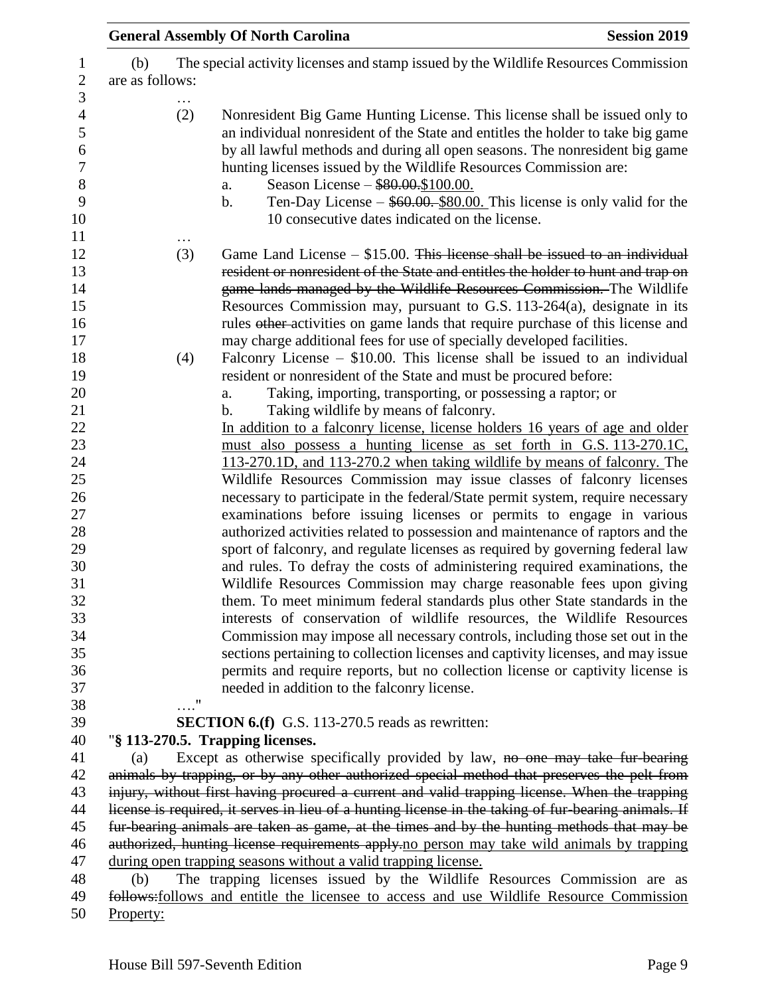|                        | <b>General Assembly Of North Carolina</b>                      | <b>Session 2019</b>                                                                                                                                                                                                                                                                                                                                                                                                                             |
|------------------------|----------------------------------------------------------------|-------------------------------------------------------------------------------------------------------------------------------------------------------------------------------------------------------------------------------------------------------------------------------------------------------------------------------------------------------------------------------------------------------------------------------------------------|
| (b)<br>are as follows: |                                                                | The special activity licenses and stamp issued by the Wildlife Resources Commission                                                                                                                                                                                                                                                                                                                                                             |
| (2)                    | Season License - \$80.00.\$100.00.<br>a.<br>b.                 | Nonresident Big Game Hunting License. This license shall be issued only to<br>an individual nonresident of the State and entitles the holder to take big game<br>by all lawful methods and during all open seasons. The nonresident big game<br>hunting licenses issued by the Wildlife Resources Commission are:<br>Ten-Day License $-$ \$60.00. \$80.00. This license is only valid for the<br>10 consecutive dates indicated on the license. |
| (3)                    |                                                                | Game Land License $-$ \$15.00. This license shall be issued to an individual<br>resident or nonresident of the State and entitles the holder to hunt and trap on<br>game lands managed by the Wildlife Resources Commission. The Wildlife<br>Resources Commission may, pursuant to G.S. 113-264(a), designate in its<br>rules other-activities on game lands that require purchase of this license and                                          |
| (4)                    | a.                                                             | may charge additional fees for use of specially developed facilities.<br>Falconry License $-$ \$10.00. This license shall be issued to an individual<br>resident or nonresident of the State and must be procured before:<br>Taking, importing, transporting, or possessing a raptor; or                                                                                                                                                        |
|                        | Taking wildlife by means of falconry.<br>b.                    | In addition to a falconry license, license holders 16 years of age and older<br>must also possess a hunting license as set forth in G.S. 113-270.1C.<br>113-270.1D, and 113-270.2 when taking wildlife by means of falconry. The<br>Wildlife Resources Commission may issue classes of falconry licenses                                                                                                                                        |
|                        |                                                                | necessary to participate in the federal/State permit system, require necessary<br>examinations before issuing licenses or permits to engage in various<br>authorized activities related to possession and maintenance of raptors and the<br>sport of falconry, and regulate licenses as required by governing federal law                                                                                                                       |
|                        |                                                                | and rules. To defray the costs of administering required examinations, the<br>Wildlife Resources Commission may charge reasonable fees upon giving<br>them. To meet minimum federal standards plus other State standards in the<br>interests of conservation of wildlife resources, the Wildlife Resources                                                                                                                                      |
|                        | needed in addition to the falconry license.                    | Commission may impose all necessary controls, including those set out in the<br>sections pertaining to collection licenses and captivity licenses, and may issue<br>permits and require reports, but no collection license or captivity license is                                                                                                                                                                                              |
|                        | "<br><b>SECTION 6.(f)</b> G.S. 113-270.5 reads as rewritten:   |                                                                                                                                                                                                                                                                                                                                                                                                                                                 |
|                        | "§ 113-270.5. Trapping licenses.                               |                                                                                                                                                                                                                                                                                                                                                                                                                                                 |
| (a)                    |                                                                | Except as otherwise specifically provided by law, no one may take fur-bearing                                                                                                                                                                                                                                                                                                                                                                   |
|                        |                                                                | animals by trapping, or by any other authorized special method that preserves the pelt from                                                                                                                                                                                                                                                                                                                                                     |
|                        |                                                                | injury, without first having procured a current and valid trapping license. When the trapping<br>license is required, it serves in lieu of a hunting license in the taking of fur-bearing animals. If                                                                                                                                                                                                                                           |
|                        |                                                                | fur-bearing animals are taken as game, at the times and by the hunting methods that may be                                                                                                                                                                                                                                                                                                                                                      |
|                        |                                                                | authorized, hunting license requirements apply-no person may take wild animals by trapping                                                                                                                                                                                                                                                                                                                                                      |
|                        | during open trapping seasons without a valid trapping license. |                                                                                                                                                                                                                                                                                                                                                                                                                                                 |
| (b)                    |                                                                | The trapping licenses issued by the Wildlife Resources Commission are as                                                                                                                                                                                                                                                                                                                                                                        |
|                        |                                                                | follows: follows and entitle the licensee to access and use Wildlife Resource Commission                                                                                                                                                                                                                                                                                                                                                        |
| Property:              |                                                                |                                                                                                                                                                                                                                                                                                                                                                                                                                                 |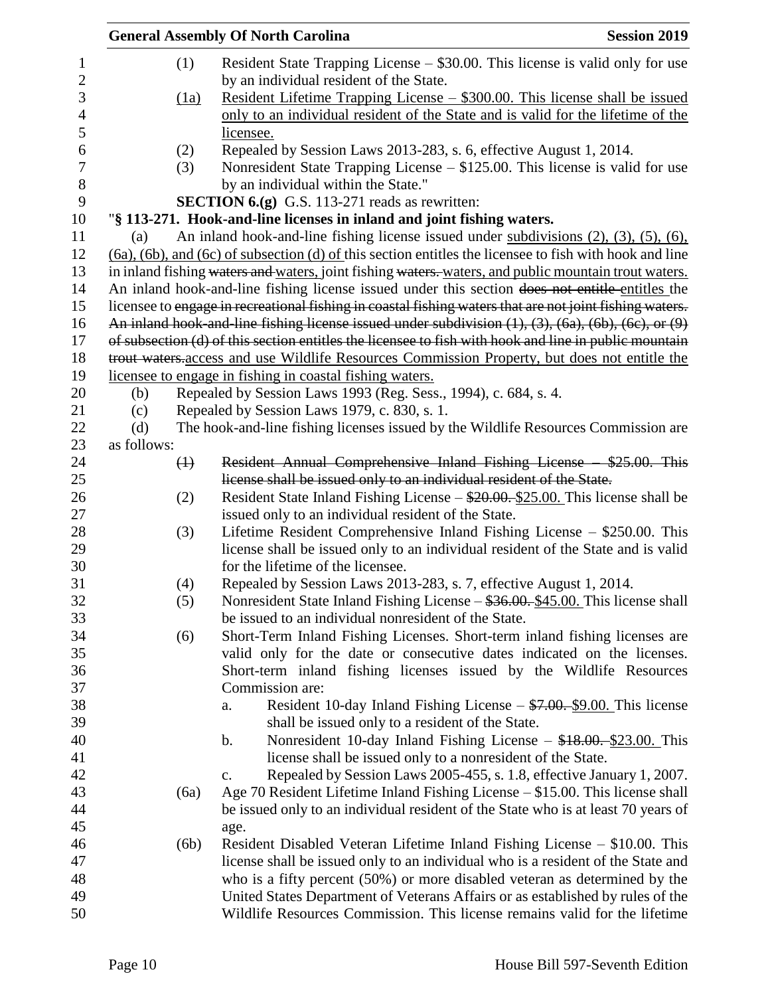|                |             |             | <b>General Assembly Of North Carolina</b>                                                                            | <b>Session 2019</b> |
|----------------|-------------|-------------|----------------------------------------------------------------------------------------------------------------------|---------------------|
| $\mathbf{1}$   |             | (1)         | Resident State Trapping License – \$30.00. This license is valid only for use                                        |                     |
| $\mathbf{2}$   |             |             | by an individual resident of the State.                                                                              |                     |
| 3              |             | (1a)        | <u> Resident Lifetime Trapping License – \$300.00. This license shall be issued</u>                                  |                     |
| $\overline{4}$ |             |             | only to an individual resident of the State and is valid for the lifetime of the                                     |                     |
| 5              |             |             | licensee.                                                                                                            |                     |
| 6              |             | (2)         | Repealed by Session Laws 2013-283, s. 6, effective August 1, 2014.                                                   |                     |
| $\overline{7}$ |             | (3)         | Nonresident State Trapping License $-$ \$125.00. This license is valid for use                                       |                     |
| $8\,$          |             |             | by an individual within the State."                                                                                  |                     |
| 9              |             |             | <b>SECTION 6.(g)</b> G.S. 113-271 reads as rewritten:                                                                |                     |
| 10             |             |             | "§ 113-271. Hook-and-line licenses in inland and joint fishing waters.                                               |                     |
| 11             | (a)         |             | An inland hook-and-line fishing license issued under subdivisions $(2)$ , $(3)$ , $(5)$ , $(6)$ ,                    |                     |
| 12             |             |             | $(6a)$ , $(6b)$ , and $(6c)$ of subsection $(d)$ of this section entitles the licensee to fish with hook and line    |                     |
| 13             |             |             | in inland fishing waters and waters, joint fishing waters. waters, and public mountain trout waters.                 |                     |
| 14             |             |             | An inland hook-and-line fishing license issued under this section does not entitle entitles the                      |                     |
| 15             |             |             | licensee to engage in recreational fishing in coastal fishing waters that are not joint fishing waters.              |                     |
| 16             |             |             | An inland hook and line fishing license issued under subdivision $(1)$ , $(3)$ , $(6a)$ , $(6b)$ , $(6c)$ , or $(9)$ |                     |
|                |             |             | of subsection (d) of this section entitles the licensee to fish with hook and line in public mountain                |                     |
| 17<br>18       |             |             | trout waters access and use Wildlife Resources Commission Property, but does not entitle the                         |                     |
| 19             |             |             | licensee to engage in fishing in coastal fishing waters.                                                             |                     |
| 20             | (b)         |             | Repealed by Session Laws 1993 (Reg. Sess., 1994), c. 684, s. 4.                                                      |                     |
|                | (c)         |             | Repealed by Session Laws 1979, c. 830, s. 1.                                                                         |                     |
|                | (d)         |             | The hook-and-line fishing licenses issued by the Wildlife Resources Commission are                                   |                     |
|                | as follows: |             |                                                                                                                      |                     |
|                |             | $\bigoplus$ | Resident Annual Comprehensive Inland Fishing License - \$25.00. This                                                 |                     |
|                |             |             | license shall be issued only to an individual resident of the State.                                                 |                     |
|                |             | (2)         | Resident State Inland Fishing License $-\frac{$20.00}{25.00}$ . This license shall be                                |                     |
|                |             |             | issued only to an individual resident of the State.                                                                  |                     |
|                |             | (3)         | Lifetime Resident Comprehensive Inland Fishing License $-$ \$250.00. This                                            |                     |
|                |             |             | license shall be issued only to an individual resident of the State and is valid                                     |                     |
|                |             |             | for the lifetime of the licensee.                                                                                    |                     |
|                |             | (4)         | Repealed by Session Laws 2013-283, s. 7, effective August 1, 2014.                                                   |                     |
|                |             | (5)         | Nonresident State Inland Fishing License – \$36.00. \$45.00. This license shall                                      |                     |
|                |             |             | be issued to an individual nonresident of the State.                                                                 |                     |
|                |             | (6)         | Short-Term Inland Fishing Licenses. Short-term inland fishing licenses are                                           |                     |
|                |             |             | valid only for the date or consecutive dates indicated on the licenses.                                              |                     |
|                |             |             | Short-term inland fishing licenses issued by the Wildlife Resources                                                  |                     |
|                |             |             | Commission are:                                                                                                      |                     |
|                |             |             | Resident 10-day Inland Fishing License $- $7.00 - $9.00$ . This license<br>a.                                        |                     |
|                |             |             | shall be issued only to a resident of the State.                                                                     |                     |
|                |             |             | Nonresident 10-day Inland Fishing License $-$ \$18.00. \$23.00. This<br>$\mathbf b$ .                                |                     |
|                |             |             | license shall be issued only to a nonresident of the State.                                                          |                     |
|                |             |             | Repealed by Session Laws 2005-455, s. 1.8, effective January 1, 2007.<br>$\mathbf{c}$ .                              |                     |
|                |             |             | Age 70 Resident Lifetime Inland Fishing License $- $15.00$ . This license shall                                      |                     |
|                |             | (6a)        | be issued only to an individual resident of the State who is at least 70 years of                                    |                     |
|                |             |             |                                                                                                                      |                     |
|                |             |             | age.<br>Resident Disabled Veteran Lifetime Inland Fishing License – \$10.00. This                                    |                     |
|                |             | (6b)        |                                                                                                                      |                     |
|                |             |             | license shall be issued only to an individual who is a resident of the State and                                     |                     |
|                |             |             | who is a fifty percent (50%) or more disabled veteran as determined by the                                           |                     |
|                |             |             | United States Department of Veterans Affairs or as established by rules of the                                       |                     |
| 50             |             |             | Wildlife Resources Commission. This license remains valid for the lifetime                                           |                     |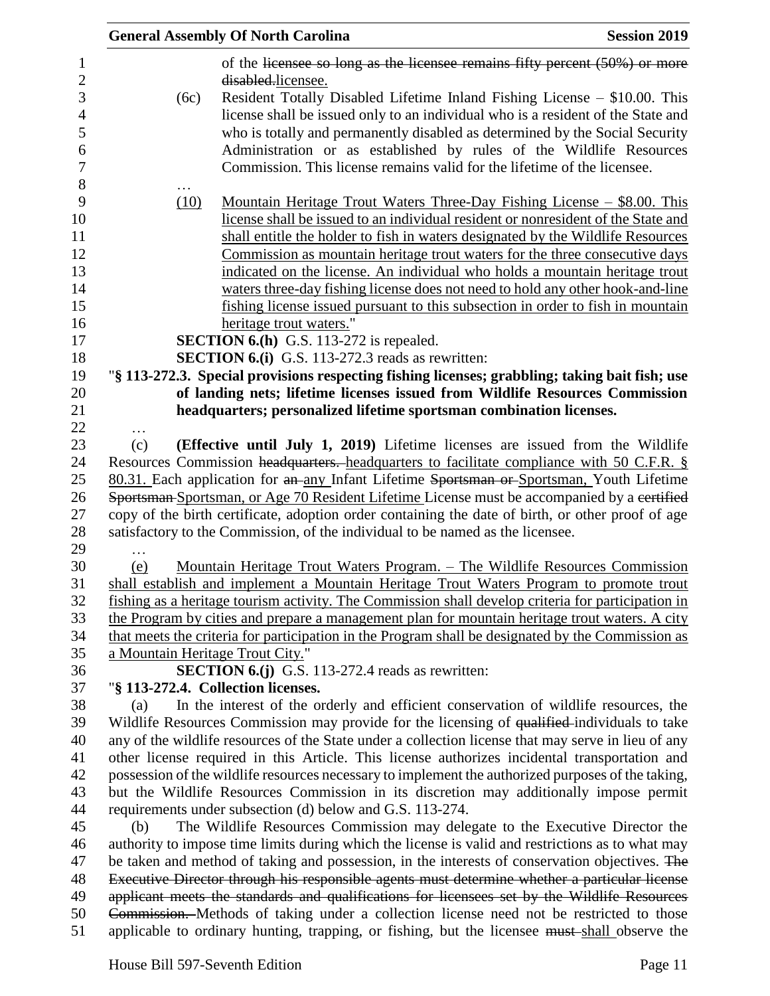|                                  | <b>General Assembly Of North Carolina</b>                                                                                                                                                                                                                                                                                                                                                        | <b>Session 2019</b> |
|----------------------------------|--------------------------------------------------------------------------------------------------------------------------------------------------------------------------------------------------------------------------------------------------------------------------------------------------------------------------------------------------------------------------------------------------|---------------------|
|                                  | of the licensee so long as the licensee remains fifty percent $(50\%)$ or more<br>disabled.licensee.                                                                                                                                                                                                                                                                                             |                     |
| (6c)                             | Resident Totally Disabled Lifetime Inland Fishing License – \$10.00. This<br>license shall be issued only to an individual who is a resident of the State and<br>who is totally and permanently disabled as determined by the Social Security<br>Administration or as established by rules of the Wildlife Resources<br>Commission. This license remains valid for the lifetime of the licensee. |                     |
| (10)                             | <u> Mountain Heritage Trout Waters Three-Day Fishing License – \$8.00. This</u>                                                                                                                                                                                                                                                                                                                  |                     |
|                                  | license shall be issued to an individual resident or nonresident of the State and<br>shall entitle the holder to fish in waters designated by the Wildlife Resources<br>Commission as mountain heritage trout waters for the three consecutive days                                                                                                                                              |                     |
|                                  | indicated on the license. An individual who holds a mountain heritage trout<br>waters three-day fishing license does not need to hold any other hook-and-line                                                                                                                                                                                                                                    |                     |
|                                  | fishing license issued pursuant to this subsection in order to fish in mountain<br>heritage trout waters."                                                                                                                                                                                                                                                                                       |                     |
|                                  | <b>SECTION 6.(h)</b> G.S. 113-272 is repealed.                                                                                                                                                                                                                                                                                                                                                   |                     |
|                                  | <b>SECTION 6.(i)</b> G.S. 113-272.3 reads as rewritten:                                                                                                                                                                                                                                                                                                                                          |                     |
|                                  | "§ 113-272.3. Special provisions respecting fishing licenses; grabbling; taking bait fish; use                                                                                                                                                                                                                                                                                                   |                     |
|                                  | of landing nets; lifetime licenses issued from Wildlife Resources Commission                                                                                                                                                                                                                                                                                                                     |                     |
|                                  | headquarters; personalized lifetime sportsman combination licenses.                                                                                                                                                                                                                                                                                                                              |                     |
| (c)                              | (Effective until July 1, 2019) Lifetime licenses are issued from the Wildlife                                                                                                                                                                                                                                                                                                                    |                     |
|                                  | Resources Commission headquarters. headquarters to facilitate compliance with 50 C.F.R. §                                                                                                                                                                                                                                                                                                        |                     |
|                                  | 80.31. Each application for an any Infant Lifetime Sportsman or Sportsman, Youth Lifetime                                                                                                                                                                                                                                                                                                        |                     |
|                                  | Sportsman-Sportsman, or Age 70 Resident Lifetime License must be accompanied by a certified                                                                                                                                                                                                                                                                                                      |                     |
|                                  | copy of the birth certificate, adoption order containing the date of birth, or other proof of age                                                                                                                                                                                                                                                                                                |                     |
|                                  | satisfactory to the Commission, of the individual to be named as the licensee.                                                                                                                                                                                                                                                                                                                   |                     |
|                                  |                                                                                                                                                                                                                                                                                                                                                                                                  |                     |
| (e)                              | <u> Mountain Heritage Trout Waters Program. – The Wildlife Resources Commission</u>                                                                                                                                                                                                                                                                                                              |                     |
|                                  | shall establish and implement a Mountain Heritage Trout Waters Program to promote trout<br>fishing as a heritage tourism activity. The Commission shall develop criteria for participation in                                                                                                                                                                                                    |                     |
|                                  | the Program by cities and prepare a management plan for mountain heritage trout waters. A city<br>that meets the criteria for participation in the Program shall be designated by the Commission as                                                                                                                                                                                              |                     |
| a Mountain Heritage Trout City." |                                                                                                                                                                                                                                                                                                                                                                                                  |                     |
|                                  | <b>SECTION 6.(j)</b> G.S. 113-272.4 reads as rewritten:                                                                                                                                                                                                                                                                                                                                          |                     |
|                                  | "§ 113-272.4. Collection licenses.                                                                                                                                                                                                                                                                                                                                                               |                     |
| (a)                              | In the interest of the orderly and efficient conservation of wildlife resources, the                                                                                                                                                                                                                                                                                                             |                     |
|                                  | Wildlife Resources Commission may provide for the licensing of qualified individuals to take                                                                                                                                                                                                                                                                                                     |                     |
|                                  | any of the wildlife resources of the State under a collection license that may serve in lieu of any                                                                                                                                                                                                                                                                                              |                     |
|                                  | other license required in this Article. This license authorizes incidental transportation and                                                                                                                                                                                                                                                                                                    |                     |
|                                  | possession of the wildlife resources necessary to implement the authorized purposes of the taking,                                                                                                                                                                                                                                                                                               |                     |
|                                  | but the Wildlife Resources Commission in its discretion may additionally impose permit                                                                                                                                                                                                                                                                                                           |                     |
| (b)                              | requirements under subsection (d) below and G.S. 113-274.<br>The Wildlife Resources Commission may delegate to the Executive Director the                                                                                                                                                                                                                                                        |                     |
|                                  | authority to impose time limits during which the license is valid and restrictions as to what may                                                                                                                                                                                                                                                                                                |                     |
|                                  | be taken and method of taking and possession, in the interests of conservation objectives. The                                                                                                                                                                                                                                                                                                   |                     |
|                                  | Executive Director through his responsible agents must determine whether a particular license                                                                                                                                                                                                                                                                                                    |                     |
|                                  | applicant meets the standards and qualifications for licensees set by the Wildlife Resources                                                                                                                                                                                                                                                                                                     |                     |
|                                  | Commission. Methods of taking under a collection license need not be restricted to those                                                                                                                                                                                                                                                                                                         |                     |
|                                  | applicable to ordinary hunting, trapping, or fishing, but the licensee must-shall observe the                                                                                                                                                                                                                                                                                                    |                     |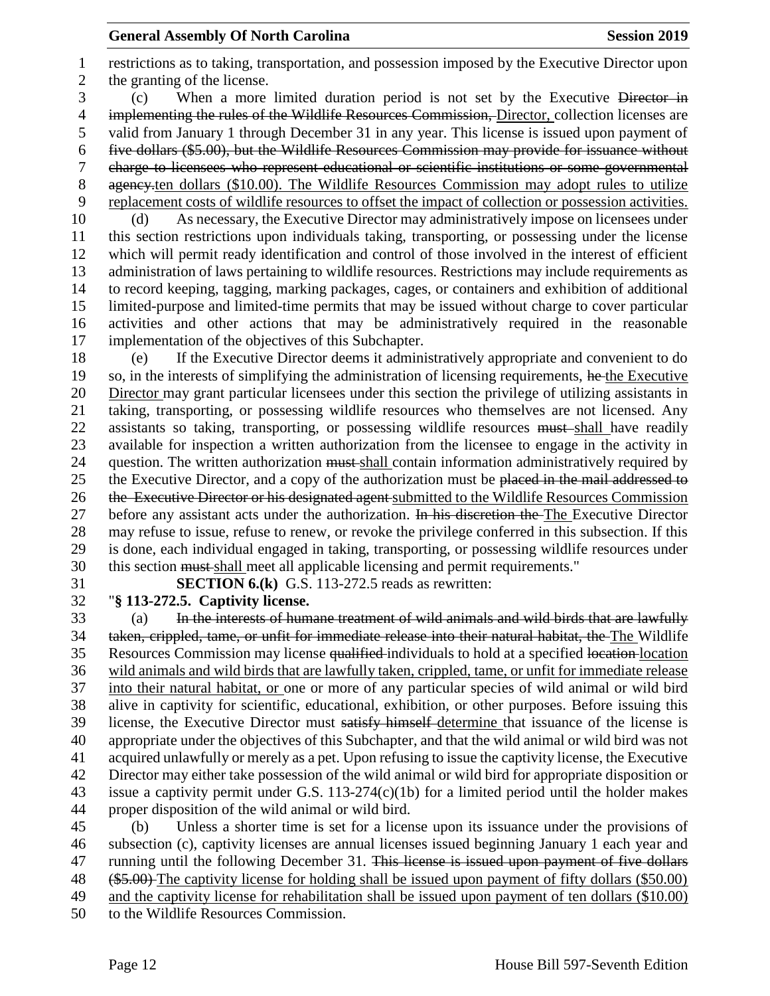**General Assembly Of North Carolina Session 2019 Session 2019**  restrictions as to taking, transportation, and possession imposed by the Executive Director upon the granting of the license. (c) When a more limited duration period is not set by the Executive Director in 4 implementing the rules of the Wildlife Resources Commission, Director, collection licenses are valid from January 1 through December 31 in any year. This license is issued upon payment of five dollars (\$5.00), but the Wildlife Resources Commission may provide for issuance without charge to licensees who represent educational or scientific institutions or some governmental 8 agency<sub>ten</sub> dollars (\$10.00). The Wildlife Resources Commission may adopt rules to utilize replacement costs of wildlife resources to offset the impact of collection or possession activities. (d) As necessary, the Executive Director may administratively impose on licensees under this section restrictions upon individuals taking, transporting, or possessing under the license which will permit ready identification and control of those involved in the interest of efficient administration of laws pertaining to wildlife resources. Restrictions may include requirements as to record keeping, tagging, marking packages, cages, or containers and exhibition of additional limited-purpose and limited-time permits that may be issued without charge to cover particular activities and other actions that may be administratively required in the reasonable implementation of the objectives of this Subchapter. (e) If the Executive Director deems it administratively appropriate and convenient to do 19 so, in the interests of simplifying the administration of licensing requirements, he the Executive Director may grant particular licensees under this section the privilege of utilizing assistants in taking, transporting, or possessing wildlife resources who themselves are not licensed. Any 22 assistants so taking, transporting, or possessing wildlife resources must shall have readily available for inspection a written authorization from the licensee to engage in the activity in 24 question. The written authorization must shall contain information administratively required by 25 the Executive Director, and a copy of the authorization must be placed in the mail addressed to

26 the Executive Director or his designated agent submitted to the Wildlife Resources Commission 27 before any assistant acts under the authorization. In his discretion the The Executive Director may refuse to issue, refuse to renew, or revoke the privilege conferred in this subsection. If this is done, each individual engaged in taking, transporting, or possessing wildlife resources under this section must shall meet all applicable licensing and permit requirements."

**SECTION 6.(k)** G.S. 113-272.5 reads as rewritten:

# "**§ 113-272.5. Captivity license.**

 (a) In the interests of humane treatment of wild animals and wild birds that are lawfully taken, crippled, tame, or unfit for immediate release into their natural habitat, the The Wildlife 35 Resources Commission may license qualified individuals to hold at a specified location location wild animals and wild birds that are lawfully taken, crippled, tame, or unfit for immediate release into their natural habitat, or one or more of any particular species of wild animal or wild bird alive in captivity for scientific, educational, exhibition, or other purposes. Before issuing this license, the Executive Director must satisfy himself determine that issuance of the license is appropriate under the objectives of this Subchapter, and that the wild animal or wild bird was not acquired unlawfully or merely as a pet. Upon refusing to issue the captivity license, the Executive Director may either take possession of the wild animal or wild bird for appropriate disposition or issue a captivity permit under G.S. 113-274(c)(1b) for a limited period until the holder makes proper disposition of the wild animal or wild bird.

 (b) Unless a shorter time is set for a license upon its issuance under the provisions of subsection (c), captivity licenses are annual licenses issued beginning January 1 each year and 47 running until the following December 31. This license is issued upon payment of five dollars (\$5.00) The captivity license for holding shall be issued upon payment of fifty dollars (\$50.00) and the captivity license for rehabilitation shall be issued upon payment of ten dollars (\$10.00) to the Wildlife Resources Commission.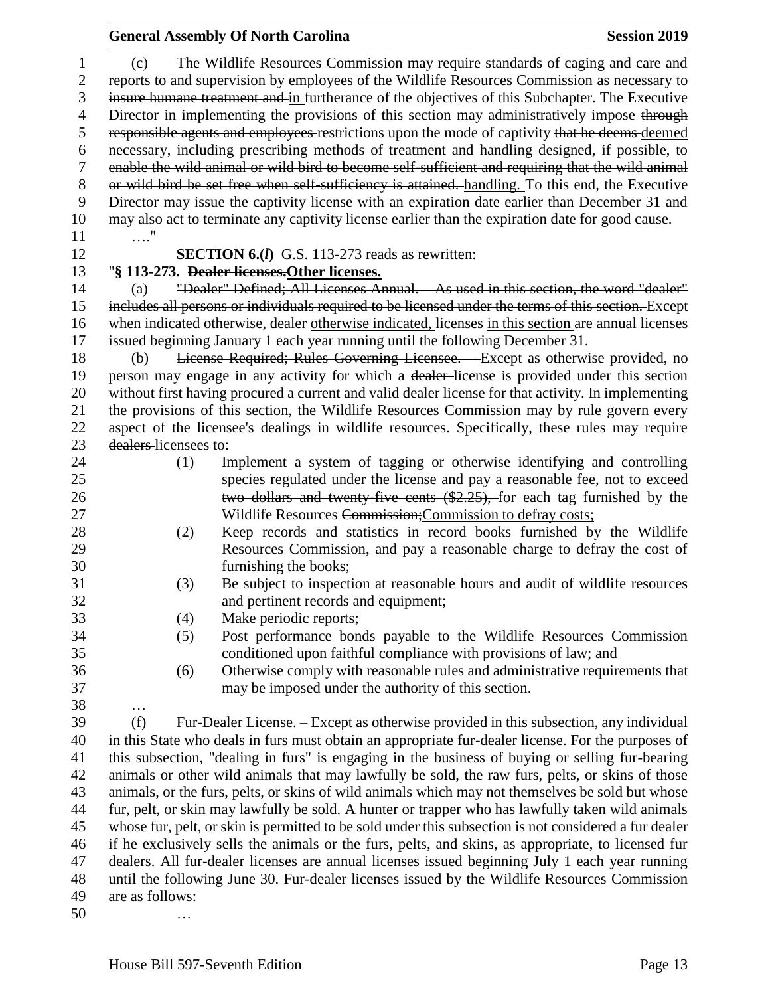|                        |                                                                                                       | <b>General Assembly Of North Carolina</b>                                                                                                                                                                                                                                        | <b>Session 2019</b> |  |
|------------------------|-------------------------------------------------------------------------------------------------------|----------------------------------------------------------------------------------------------------------------------------------------------------------------------------------------------------------------------------------------------------------------------------------|---------------------|--|
| 1<br>$\mathbf{2}$<br>3 | (c)                                                                                                   | The Wildlife Resources Commission may require standards of caging and care and<br>reports to and supervision by employees of the Wildlife Resources Commission as necessary to<br>insure humane treatment and in furtherance of the objectives of this Subchapter. The Executive |                     |  |
| 4<br>5                 |                                                                                                       | Director in implementing the provisions of this section may administratively impose through<br>responsible agents and employees restrictions upon the mode of captivity that he deems deemed                                                                                     |                     |  |
| 6                      |                                                                                                       | necessary, including prescribing methods of treatment and handling designed, if possible, to                                                                                                                                                                                     |                     |  |
| 7                      |                                                                                                       | enable the wild animal or wild bird to become self-sufficient and requiring that the wild animal                                                                                                                                                                                 |                     |  |
| $8\,$                  |                                                                                                       | or wild bird be set free when self-sufficiency is attained. handling. To this end, the Executive                                                                                                                                                                                 |                     |  |
| 9                      |                                                                                                       | Director may issue the captivity license with an expiration date earlier than December 31 and                                                                                                                                                                                    |                     |  |
| 10                     | $\ldots$ "                                                                                            | may also act to terminate any captivity license earlier than the expiration date for good cause.                                                                                                                                                                                 |                     |  |
| 11<br>12               |                                                                                                       | <b>SECTION 6.(I)</b> G.S. 113-273 reads as rewritten:                                                                                                                                                                                                                            |                     |  |
| 13                     |                                                                                                       |                                                                                                                                                                                                                                                                                  |                     |  |
| 14                     |                                                                                                       | "§ 113-273. Dealer licenses. Other licenses.<br>"Dealer" Defined; All Licenses Annual. As used in this section, the word "dealer"                                                                                                                                                |                     |  |
|                        | (a)                                                                                                   | includes all persons or individuals required to be licensed under the terms of this section. Except                                                                                                                                                                              |                     |  |
| 15<br>16               |                                                                                                       |                                                                                                                                                                                                                                                                                  |                     |  |
|                        |                                                                                                       | when indicated otherwise, dealer otherwise indicated, licenses in this section are annual licenses                                                                                                                                                                               |                     |  |
| 17                     |                                                                                                       | issued beginning January 1 each year running until the following December 31.                                                                                                                                                                                                    |                     |  |
| 18                     | (b)                                                                                                   | License Required; Rules Governing Licensee. Except as otherwise provided, no                                                                                                                                                                                                     |                     |  |
| 19                     |                                                                                                       | person may engage in any activity for which a dealer-license is provided under this section                                                                                                                                                                                      |                     |  |
| 20                     |                                                                                                       | without first having procured a current and valid dealer-license for that activity. In implementing                                                                                                                                                                              |                     |  |
| 21                     |                                                                                                       | the provisions of this section, the Wildlife Resources Commission may by rule govern every                                                                                                                                                                                       |                     |  |
| 22                     |                                                                                                       | aspect of the licensee's dealings in wildlife resources. Specifically, these rules may require                                                                                                                                                                                   |                     |  |
| 23<br>24               | dealers-licensees to:                                                                                 |                                                                                                                                                                                                                                                                                  |                     |  |
| 25                     | (1)                                                                                                   | Implement a system of tagging or otherwise identifying and controlling                                                                                                                                                                                                           |                     |  |
| 26<br>27               |                                                                                                       | species regulated under the license and pay a reasonable fee, not to exceed<br>two dollars and twenty five cents (\$2.25), for each tag furnished by the<br>Wildlife Resources Commission; Commission to defray costs;                                                           |                     |  |
| 28                     | (2)                                                                                                   | Keep records and statistics in record books furnished by the Wildlife                                                                                                                                                                                                            |                     |  |
| 29                     |                                                                                                       | Resources Commission, and pay a reasonable charge to defray the cost of                                                                                                                                                                                                          |                     |  |
| 30                     |                                                                                                       | furnishing the books;                                                                                                                                                                                                                                                            |                     |  |
| 31                     | (3)                                                                                                   | Be subject to inspection at reasonable hours and audit of wildlife resources                                                                                                                                                                                                     |                     |  |
| 32                     |                                                                                                       | and pertinent records and equipment;                                                                                                                                                                                                                                             |                     |  |
| 33                     | (4)                                                                                                   | Make periodic reports;                                                                                                                                                                                                                                                           |                     |  |
| 34                     | (5)                                                                                                   | Post performance bonds payable to the Wildlife Resources Commission                                                                                                                                                                                                              |                     |  |
| 35                     |                                                                                                       | conditioned upon faithful compliance with provisions of law; and                                                                                                                                                                                                                 |                     |  |
| 36                     | (6)                                                                                                   | Otherwise comply with reasonable rules and administrative requirements that                                                                                                                                                                                                      |                     |  |
| 37                     |                                                                                                       | may be imposed under the authority of this section.                                                                                                                                                                                                                              |                     |  |
| 38                     | $\cdots$                                                                                              |                                                                                                                                                                                                                                                                                  |                     |  |
| 39                     | (f)                                                                                                   | Fur-Dealer License. – Except as otherwise provided in this subsection, any individual                                                                                                                                                                                            |                     |  |
| 40                     |                                                                                                       | in this State who deals in furs must obtain an appropriate fur-dealer license. For the purposes of                                                                                                                                                                               |                     |  |
| 41                     |                                                                                                       | this subsection, "dealing in furs" is engaging in the business of buying or selling fur-bearing                                                                                                                                                                                  |                     |  |
| 42                     |                                                                                                       | animals or other wild animals that may lawfully be sold, the raw furs, pelts, or skins of those                                                                                                                                                                                  |                     |  |
| 43                     |                                                                                                       | animals, or the furs, pelts, or skins of wild animals which may not themselves be sold but whose                                                                                                                                                                                 |                     |  |
| 44                     |                                                                                                       | fur, pelt, or skin may lawfully be sold. A hunter or trapper who has lawfully taken wild animals                                                                                                                                                                                 |                     |  |
| 45                     | whose fur, pelt, or skin is permitted to be sold under this subsection is not considered a fur dealer |                                                                                                                                                                                                                                                                                  |                     |  |
| 46                     |                                                                                                       | if he exclusively sells the animals or the furs, pelts, and skins, as appropriate, to licensed fur                                                                                                                                                                               |                     |  |
| 47                     |                                                                                                       | dealers. All fur-dealer licenses are annual licenses issued beginning July 1 each year running                                                                                                                                                                                   |                     |  |
| 48                     |                                                                                                       | until the following June 30. Fur-dealer licenses issued by the Wildlife Resources Commission                                                                                                                                                                                     |                     |  |
| 49                     | are as follows:                                                                                       |                                                                                                                                                                                                                                                                                  |                     |  |
| 50                     |                                                                                                       |                                                                                                                                                                                                                                                                                  |                     |  |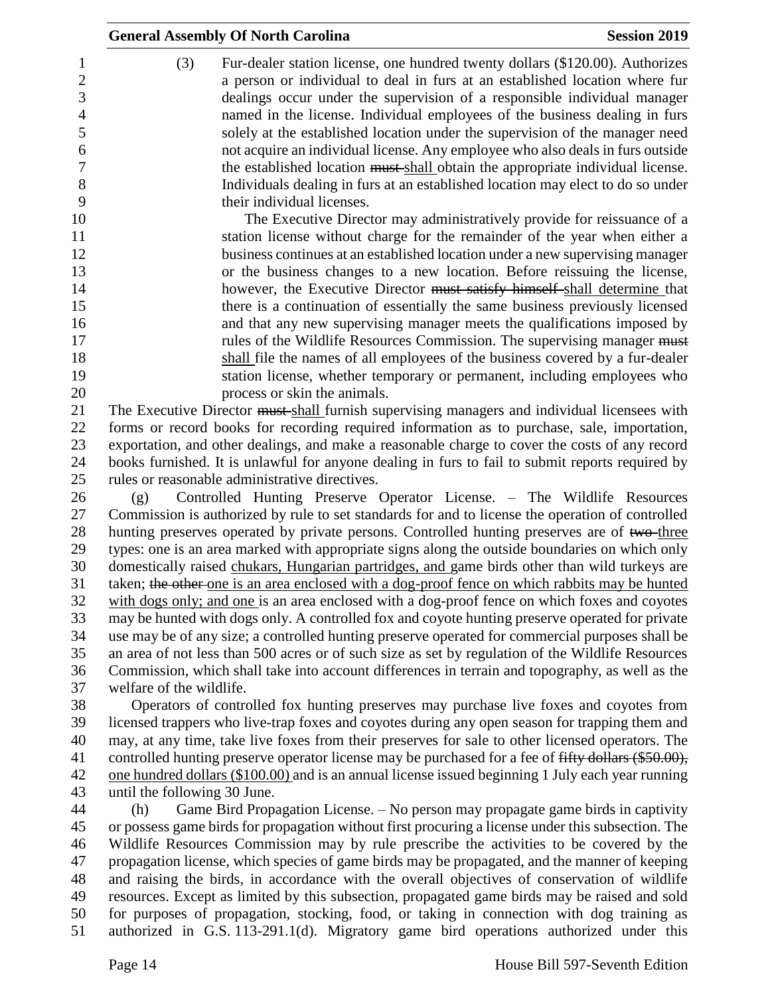| 1              | (3)                          | Fur-dealer station license, one hundred twenty dollars (\$120.00). Authorizes                                                                                                               |
|----------------|------------------------------|---------------------------------------------------------------------------------------------------------------------------------------------------------------------------------------------|
| $\mathbf{2}$   |                              | a person or individual to deal in furs at an established location where fur                                                                                                                 |
| 3              |                              | dealings occur under the supervision of a responsible individual manager                                                                                                                    |
| $\overline{4}$ |                              | named in the license. Individual employees of the business dealing in furs                                                                                                                  |
| 5              |                              | solely at the established location under the supervision of the manager need                                                                                                                |
| 6              |                              | not acquire an individual license. Any employee who also deals in furs outside                                                                                                              |
| 7              |                              | the established location must shall obtain the appropriate individual license.                                                                                                              |
| $8\,$          |                              | Individuals dealing in furs at an established location may elect to do so under                                                                                                             |
| 9              |                              | their individual licenses.                                                                                                                                                                  |
| 10             |                              | The Executive Director may administratively provide for reissuance of a                                                                                                                     |
| 11             |                              | station license without charge for the remainder of the year when either a                                                                                                                  |
| 12             |                              | business continues at an established location under a new supervising manager                                                                                                               |
| 13             |                              | or the business changes to a new location. Before reissuing the license,                                                                                                                    |
| 14             |                              | however, the Executive Director must satisfy himself-shall determine that                                                                                                                   |
| 15             |                              | there is a continuation of essentially the same business previously licensed                                                                                                                |
| 16             |                              | and that any new supervising manager meets the qualifications imposed by                                                                                                                    |
| 17             |                              | rules of the Wildlife Resources Commission. The supervising manager must                                                                                                                    |
| 18             |                              | shall file the names of all employees of the business covered by a fur-dealer                                                                                                               |
| 19             |                              | station license, whether temporary or permanent, including employees who                                                                                                                    |
| 20             |                              | process or skin the animals.                                                                                                                                                                |
| 21<br>22       |                              | The Executive Director must shall furnish supervising managers and individual licensees with<br>forms or record books for recording required information as to purchase, sale, importation, |
| 23             |                              | exportation, and other dealings, and make a reasonable charge to cover the costs of any record                                                                                              |
| 24             |                              | books furnished. It is unlawful for anyone dealing in furs to fail to submit reports required by                                                                                            |
| 25             |                              | rules or reasonable administrative directives.                                                                                                                                              |
| 26             | (g)                          | Controlled Hunting Preserve Operator License. – The Wildlife Resources                                                                                                                      |
| 27             |                              | Commission is authorized by rule to set standards for and to license the operation of controlled                                                                                            |
| 28             |                              | hunting preserves operated by private persons. Controlled hunting preserves are of two-three                                                                                                |
| 29             |                              | types: one is an area marked with appropriate signs along the outside boundaries on which only                                                                                              |
| 30             |                              | domestically raised chukars, Hungarian partridges, and game birds other than wild turkeys are                                                                                               |
| 31             |                              | taken; the other one is an area enclosed with a dog-proof fence on which rabbits may be hunted                                                                                              |
| 32             |                              | with dogs only; and one is an area enclosed with a dog-proof fence on which foxes and coyotes                                                                                               |
| 33             |                              | may be hunted with dogs only. A controlled fox and coyote hunting preserve operated for private                                                                                             |
| 34             |                              | use may be of any size; a controlled hunting preserve operated for commercial purposes shall be                                                                                             |
| 35             |                              | an area of not less than 500 acres or of such size as set by regulation of the Wildlife Resources                                                                                           |
| 36             |                              | Commission, which shall take into account differences in terrain and topography, as well as the                                                                                             |
| 37             | welfare of the wildlife.     |                                                                                                                                                                                             |
| 38             |                              | Operators of controlled fox hunting preserves may purchase live foxes and coyotes from                                                                                                      |
| 39             |                              | licensed trappers who live-trap foxes and coyotes during any open season for trapping them and                                                                                              |
| 40             |                              | may, at any time, take live foxes from their preserves for sale to other licensed operators. The                                                                                            |
| 41             |                              | controlled hunting preserve operator license may be purchased for a fee of fifty dollars (\$50.00),                                                                                         |
| 42             |                              | one hundred dollars (\$100.00) and is an annual license issued beginning 1 July each year running                                                                                           |
| 43             | until the following 30 June. |                                                                                                                                                                                             |
| 44             | (h)                          | Game Bird Propagation License. – No person may propagate game birds in captivity                                                                                                            |
| 45             |                              | or possess game birds for propagation without first procuring a license under this subsection. The                                                                                          |
| 46             |                              | Wildlife Resources Commission may by rule prescribe the activities to be covered by the                                                                                                     |
| 47             |                              | propagation license, which species of game birds may be propagated, and the manner of keeping                                                                                               |
| 48             |                              | and raising the birds, in accordance with the overall objectives of conservation of wildlife                                                                                                |
| 49             |                              | resources. Except as limited by this subsection, propagated game birds may be raised and sold                                                                                               |
| 50             |                              | for purposes of propagation, stocking, food, or taking in connection with dog training as                                                                                                   |
| 51             |                              | authorized in G.S. 113-291.1(d). Migratory game bird operations authorized under this                                                                                                       |
|                |                              |                                                                                                                                                                                             |

**General Assembly Of North Carolina Session 2019**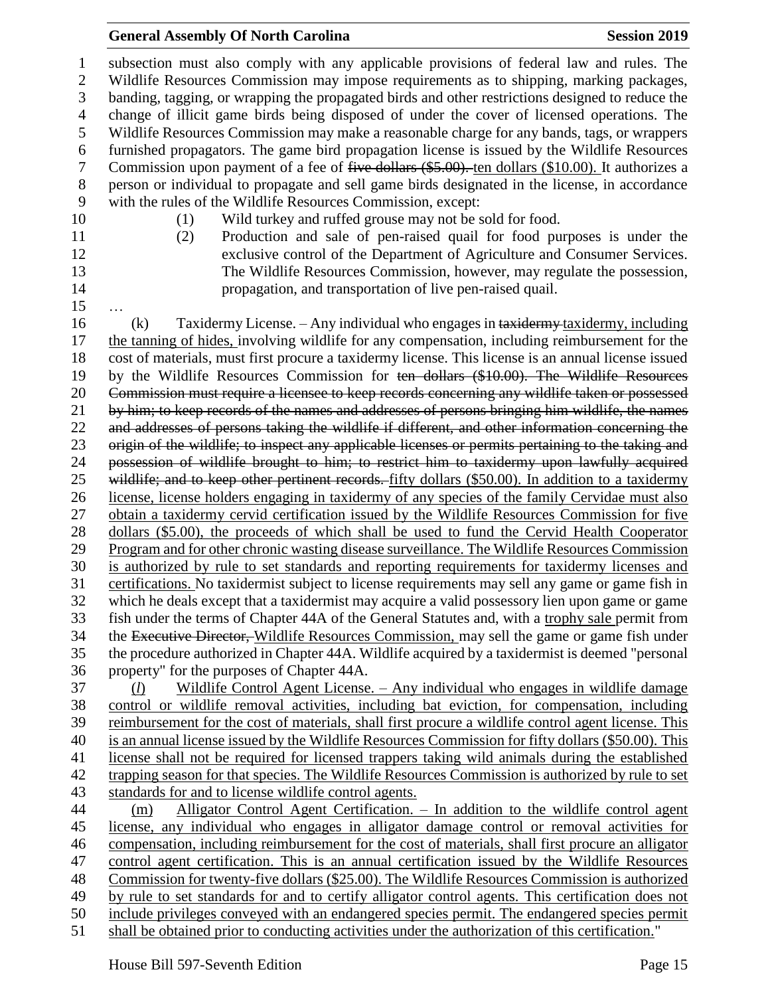### **General Assembly Of North Carolina Session 2019 Session 2019**

 subsection must also comply with any applicable provisions of federal law and rules. The Wildlife Resources Commission may impose requirements as to shipping, marking packages, banding, tagging, or wrapping the propagated birds and other restrictions designed to reduce the change of illicit game birds being disposed of under the cover of licensed operations. The Wildlife Resources Commission may make a reasonable charge for any bands, tags, or wrappers furnished propagators. The game bird propagation license is issued by the Wildlife Resources 7 Commission upon payment of a fee of five dollars (\$5.00). ten dollars (\$10.00). It authorizes a person or individual to propagate and sell game birds designated in the license, in accordance with the rules of the Wildlife Resources Commission, except: (1) Wild turkey and ruffed grouse may not be sold for food. (2) Production and sale of pen-raised quail for food purposes is under the exclusive control of the Department of Agriculture and Consumer Services. The Wildlife Resources Commission, however, may regulate the possession, propagation, and transportation of live pen-raised quail. … 16 (k) Taxidermy License. – Any individual who engages in taxidermy taxidermy, including the tanning of hides, involving wildlife for any compensation, including reimbursement for the cost of materials, must first procure a taxidermy license. This license is an annual license issued by the Wildlife Resources Commission for ten dollars (\$10.00). The Wildlife Resources Commission must require a licensee to keep records concerning any wildlife taken or possessed by him; to keep records of the names and addresses of persons bringing him wildlife, the names and addresses of persons taking the wildlife if different, and other information concerning the origin of the wildlife; to inspect any applicable licenses or permits pertaining to the taking and possession of wildlife brought to him; to restrict him to taxidermy upon lawfully acquired 25 wildlife; and to keep other pertinent records. fifty dollars (\$50.00). In addition to a taxidermy license, license holders engaging in taxidermy of any species of the family Cervidae must also obtain a taxidermy cervid certification issued by the Wildlife Resources Commission for five dollars (\$5.00), the proceeds of which shall be used to fund the Cervid Health Cooperator Program and for other chronic wasting disease surveillance. The Wildlife Resources Commission is authorized by rule to set standards and reporting requirements for taxidermy licenses and certifications. No taxidermist subject to license requirements may sell any game or game fish in which he deals except that a taxidermist may acquire a valid possessory lien upon game or game fish under the terms of Chapter 44A of the General Statutes and, with a trophy sale permit from 34 the Executive Director, Wildlife Resources Commission, may sell the game or game fish under the procedure authorized in Chapter 44A. Wildlife acquired by a taxidermist is deemed "personal property" for the purposes of Chapter 44A. (*l*) Wildlife Control Agent License. – Any individual who engages in wildlife damage control or wildlife removal activities, including bat eviction, for compensation, including reimbursement for the cost of materials, shall first procure a wildlife control agent license. This is an annual license issued by the Wildlife Resources Commission for fifty dollars (\$50.00). This license shall not be required for licensed trappers taking wild animals during the established trapping season for that species. The Wildlife Resources Commission is authorized by rule to set standards for and to license wildlife control agents. (m) Alligator Control Agent Certification. – In addition to the wildlife control agent license, any individual who engages in alligator damage control or removal activities for compensation, including reimbursement for the cost of materials, shall first procure an alligator control agent certification. This is an annual certification issued by the Wildlife Resources Commission for twenty-five dollars (\$25.00). The Wildlife Resources Commission is authorized by rule to set standards for and to certify alligator control agents. This certification does not include privileges conveyed with an endangered species permit. The endangered species permit shall be obtained prior to conducting activities under the authorization of this certification."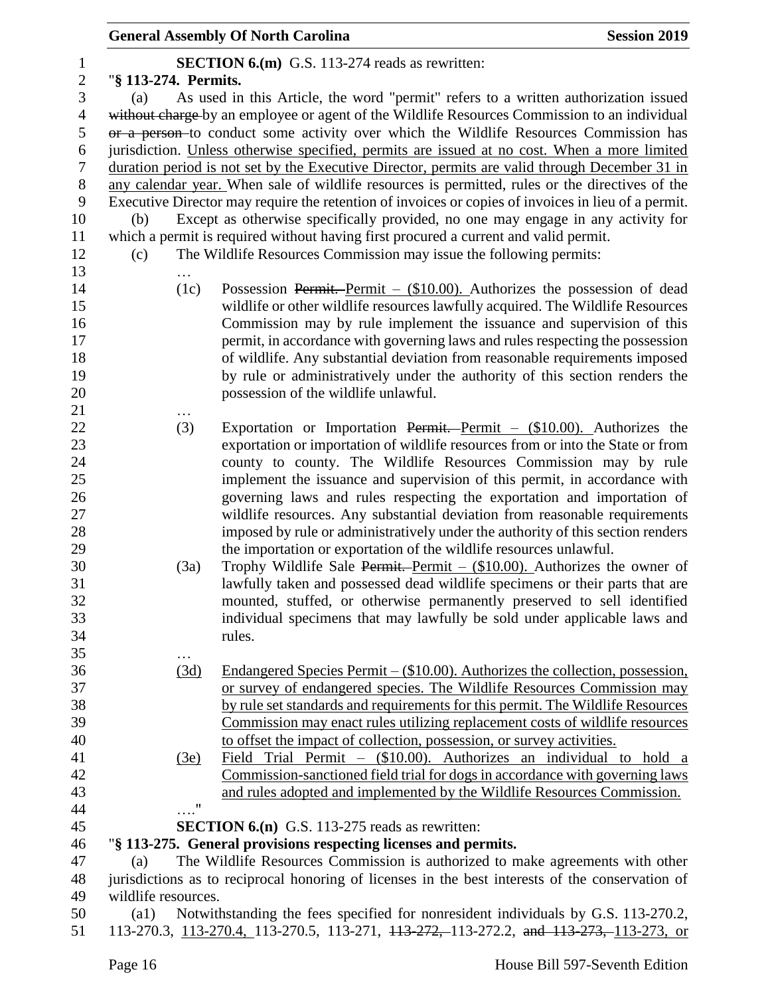|                  |                                                                                                         | <b>General Assembly Of North Carolina</b>                                                           | <b>Session 2019</b> |
|------------------|---------------------------------------------------------------------------------------------------------|-----------------------------------------------------------------------------------------------------|---------------------|
| $\mathbf{1}$     |                                                                                                         | <b>SECTION 6.(m)</b> G.S. 113-274 reads as rewritten:                                               |                     |
| $\overline{2}$   | "§ 113-274. Permits.                                                                                    |                                                                                                     |                     |
| 3                | (a)                                                                                                     | As used in this Article, the word "permit" refers to a written authorization issued                 |                     |
| $\overline{4}$   |                                                                                                         | without charge by an employee or agent of the Wildlife Resources Commission to an individual        |                     |
| 5                |                                                                                                         | or a person-to conduct some activity over which the Wildlife Resources Commission has               |                     |
| 6                |                                                                                                         | jurisdiction. Unless otherwise specified, permits are issued at no cost. When a more limited        |                     |
| $\boldsymbol{7}$ |                                                                                                         | duration period is not set by the Executive Director, permits are valid through December 31 in      |                     |
| $8\,$            |                                                                                                         | any calendar year. When sale of wildlife resources is permitted, rules or the directives of the     |                     |
| 9                |                                                                                                         | Executive Director may require the retention of invoices or copies of invoices in lieu of a permit. |                     |
| 10               | (b)                                                                                                     | Except as otherwise specifically provided, no one may engage in any activity for                    |                     |
| 11               |                                                                                                         | which a permit is required without having first procured a current and valid permit.                |                     |
| 12               | (c)                                                                                                     | The Wildlife Resources Commission may issue the following permits:                                  |                     |
| 13               |                                                                                                         |                                                                                                     |                     |
| 14               | (1c)                                                                                                    | Possession Permit. Permit $-$ (\$10.00). Authorizes the possession of dead                          |                     |
| 15               |                                                                                                         | wildlife or other wildlife resources lawfully acquired. The Wildlife Resources                      |                     |
| 16               |                                                                                                         | Commission may by rule implement the issuance and supervision of this                               |                     |
| 17               |                                                                                                         |                                                                                                     |                     |
|                  |                                                                                                         | permit, in accordance with governing laws and rules respecting the possession                       |                     |
| 18               |                                                                                                         | of wildlife. Any substantial deviation from reasonable requirements imposed                         |                     |
| 19               |                                                                                                         | by rule or administratively under the authority of this section renders the                         |                     |
| 20               |                                                                                                         | possession of the wildlife unlawful.                                                                |                     |
| 21               |                                                                                                         |                                                                                                     |                     |
| 22               | (3)                                                                                                     | Exportation or Importation Permit. Permit $-$ (\$10.00). Authorizes the                             |                     |
| 23               |                                                                                                         | exportation or importation of wildlife resources from or into the State or from                     |                     |
| 24               |                                                                                                         | county to county. The Wildlife Resources Commission may by rule                                     |                     |
| 25               |                                                                                                         | implement the issuance and supervision of this permit, in accordance with                           |                     |
| 26               |                                                                                                         | governing laws and rules respecting the exportation and importation of                              |                     |
| 27               |                                                                                                         | wildlife resources. Any substantial deviation from reasonable requirements                          |                     |
| 28               |                                                                                                         | imposed by rule or administratively under the authority of this section renders                     |                     |
| 29               |                                                                                                         | the importation or exportation of the wildlife resources unlawful.                                  |                     |
| 30               | (3a)                                                                                                    | Trophy Wildlife Sale Permit. Permit $-$ (\$10.00). Authorizes the owner of                          |                     |
| 31               |                                                                                                         | lawfully taken and possessed dead wildlife specimens or their parts that are                        |                     |
| 32               |                                                                                                         | mounted, stuffed, or otherwise permanently preserved to sell identified                             |                     |
| 33               |                                                                                                         | individual specimens that may lawfully be sold under applicable laws and                            |                     |
| 34               |                                                                                                         | rules.                                                                                              |                     |
| 35               |                                                                                                         |                                                                                                     |                     |
| 36               | (3d)                                                                                                    | Endangered Species Permit $-(\$10.00)$ . Authorizes the collection, possession,                     |                     |
| 37               |                                                                                                         | or survey of endangered species. The Wildlife Resources Commission may                              |                     |
| 38               |                                                                                                         | by rule set standards and requirements for this permit. The Wildlife Resources                      |                     |
| 39               |                                                                                                         | Commission may enact rules utilizing replacement costs of wildlife resources                        |                     |
| 40               |                                                                                                         | to offset the impact of collection, possession, or survey activities.                               |                     |
| 41               | (3e)                                                                                                    | Field Trial Permit $-$ (\$10.00). Authorizes an individual to hold a                                |                     |
| 42               |                                                                                                         | Commission-sanctioned field trial for dogs in accordance with governing laws                        |                     |
| 43               |                                                                                                         | and rules adopted and implemented by the Wildlife Resources Commission.                             |                     |
| 44               | $\ldots$ "                                                                                              |                                                                                                     |                     |
| 45               |                                                                                                         | <b>SECTION 6.(n)</b> G.S. 113-275 reads as rewritten:                                               |                     |
| 46               |                                                                                                         | "§ 113-275. General provisions respecting licenses and permits.                                     |                     |
| 47               | (a)                                                                                                     | The Wildlife Resources Commission is authorized to make agreements with other                       |                     |
| 48               |                                                                                                         | jurisdictions as to reciprocal honoring of licenses in the best interests of the conservation of    |                     |
| 49               | wildlife resources.                                                                                     |                                                                                                     |                     |
| 50               | Notwithstanding the fees specified for nonresident individuals by G.S. 113-270.2,<br>$\left( a1\right)$ |                                                                                                     |                     |
| 51               |                                                                                                         | 113-270.3, 113-270.4, 113-270.5, 113-271, 113-272, 113-272.2, and 113-273, 113-273, or              |                     |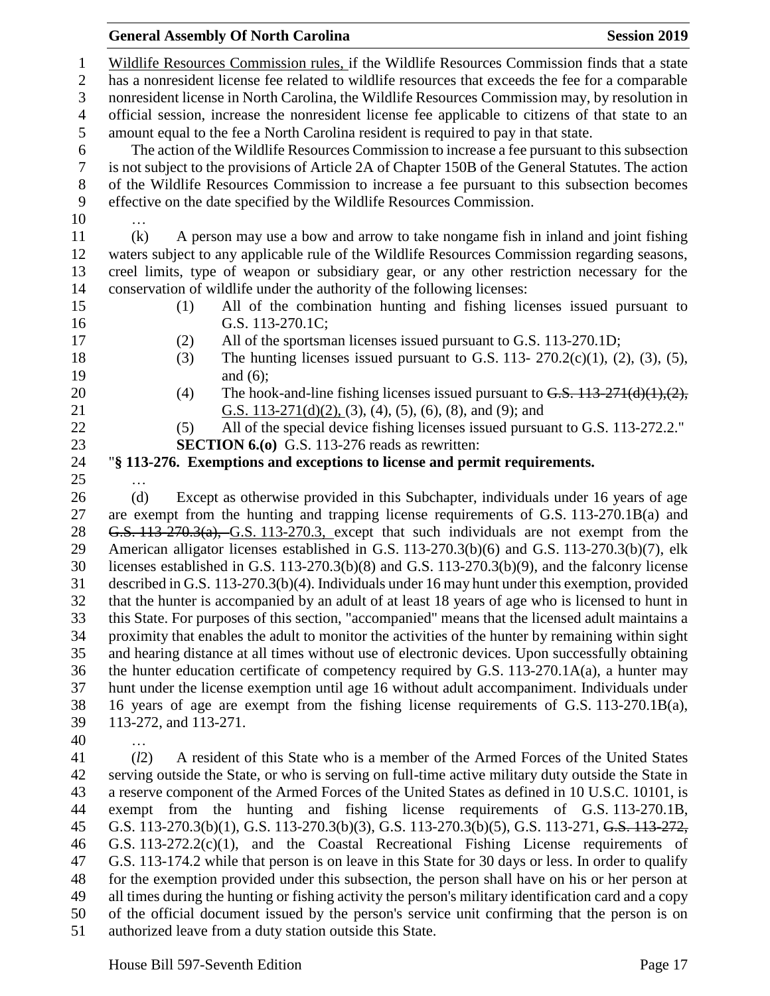|                | <b>General Assembly Of North Carolina</b>                                                                                                                                                            | <b>Session 2019</b> |
|----------------|------------------------------------------------------------------------------------------------------------------------------------------------------------------------------------------------------|---------------------|
| $\mathbf{1}$   | Wildlife Resources Commission rules, if the Wildlife Resources Commission finds that a state                                                                                                         |                     |
| $\mathbf{2}$   | has a nonresident license fee related to wildlife resources that exceeds the fee for a comparable                                                                                                    |                     |
| 3              | nonresident license in North Carolina, the Wildlife Resources Commission may, by resolution in                                                                                                       |                     |
| $\overline{4}$ | official session, increase the nonresident license fee applicable to citizens of that state to an                                                                                                    |                     |
| 5              | amount equal to the fee a North Carolina resident is required to pay in that state.                                                                                                                  |                     |
| 6              | The action of the Wildlife Resources Commission to increase a fee pursuant to this subsection                                                                                                        |                     |
| $\tau$         | is not subject to the provisions of Article 2A of Chapter 150B of the General Statutes. The action                                                                                                   |                     |
| $8\,$          | of the Wildlife Resources Commission to increase a fee pursuant to this subsection becomes                                                                                                           |                     |
| 9              | effective on the date specified by the Wildlife Resources Commission.                                                                                                                                |                     |
| 10             | .                                                                                                                                                                                                    |                     |
| 11             | (k)<br>A person may use a bow and arrow to take nongame fish in inland and joint fishing                                                                                                             |                     |
| 12             | waters subject to any applicable rule of the Wildlife Resources Commission regarding seasons,                                                                                                        |                     |
| 13             | creel limits, type of weapon or subsidiary gear, or any other restriction necessary for the                                                                                                          |                     |
| 14<br>15       | conservation of wildlife under the authority of the following licenses:<br>All of the combination hunting and fishing licenses issued pursuant to<br>(1)                                             |                     |
| 16             | G.S. 113-270.1C;                                                                                                                                                                                     |                     |
| 17             | All of the sportsman licenses issued pursuant to G.S. 113-270.1D;<br>(2)                                                                                                                             |                     |
| 18             | The hunting licenses issued pursuant to G.S. 113- $270.2(c)(1)$ , (2), (3), (5),<br>(3)                                                                                                              |                     |
| 19             | and $(6)$ ;                                                                                                                                                                                          |                     |
| 20             | The hook-and-line fishing licenses issued pursuant to $G.S. 113-271(d)(1),(2),$<br>(4)                                                                                                               |                     |
| 21             | G.S. 113-271(d)(2), (3), (4), (5), (6), (8), and (9); and                                                                                                                                            |                     |
| 22             | All of the special device fishing licenses issued pursuant to G.S. 113-272.2."<br>(5)                                                                                                                |                     |
| 23             | <b>SECTION 6.(0)</b> G.S. 113-276 reads as rewritten:                                                                                                                                                |                     |
| 24             | "§ 113-276. Exemptions and exceptions to license and permit requirements.                                                                                                                            |                     |
| 25             |                                                                                                                                                                                                      |                     |
| 26             | Except as otherwise provided in this Subchapter, individuals under 16 years of age<br>(d)                                                                                                            |                     |
| 27             | are exempt from the hunting and trapping license requirements of G.S. 113-270.1B(a) and                                                                                                              |                     |
| 28             | G.S. 113-270.3(a), G.S. 113-270.3, except that such individuals are not exempt from the                                                                                                              |                     |
| 29             | American alligator licenses established in G.S. 113-270.3(b)(6) and G.S. 113-270.3(b)(7), elk                                                                                                        |                     |
| 30             | licenses established in G.S. $113-270.3(b)(8)$ and G.S. $113-270.3(b)(9)$ , and the falconry license                                                                                                 |                     |
| 31<br>32       | described in G.S. 113-270.3(b)(4). Individuals under 16 may hunt under this exemption, provided<br>that the hunter is accompanied by an adult of at least 18 years of age who is licensed to hunt in |                     |
| 33             | this State. For purposes of this section, "accompanied" means that the licensed adult maintains a                                                                                                    |                     |
| 34             | proximity that enables the adult to monitor the activities of the hunter by remaining within sight                                                                                                   |                     |
| 35             | and hearing distance at all times without use of electronic devices. Upon successfully obtaining                                                                                                     |                     |
| 36             | the hunter education certificate of competency required by G.S. $113-270.1A(a)$ , a hunter may                                                                                                       |                     |
| 37             | hunt under the license exemption until age 16 without adult accompaniment. Individuals under                                                                                                         |                     |
| 38             | 16 years of age are exempt from the fishing license requirements of G.S. 113-270.1B(a),                                                                                                              |                     |
| 39             | 113-272, and 113-271.                                                                                                                                                                                |                     |
| 40             | .                                                                                                                                                                                                    |                     |
| 41             | (l2)<br>A resident of this State who is a member of the Armed Forces of the United States                                                                                                            |                     |
| 42             | serving outside the State, or who is serving on full-time active military duty outside the State in                                                                                                  |                     |
| 43             | a reserve component of the Armed Forces of the United States as defined in 10 U.S.C. 10101, is                                                                                                       |                     |
| 44             | exempt from the hunting and fishing license requirements of G.S. 113-270.1B,                                                                                                                         |                     |

 G.S. 113-270.3(b)(1), G.S. 113-270.3(b)(3), G.S. 113-270.3(b)(5), G.S. 113-271, G.S. 113-272, G.S. 113-272.2(c)(1), and the Coastal Recreational Fishing License requirements of G.S. 113-174.2 while that person is on leave in this State for 30 days or less. In order to qualify for the exemption provided under this subsection, the person shall have on his or her person at all times during the hunting or fishing activity the person's military identification card and a copy of the official document issued by the person's service unit confirming that the person is on

authorized leave from a duty station outside this State.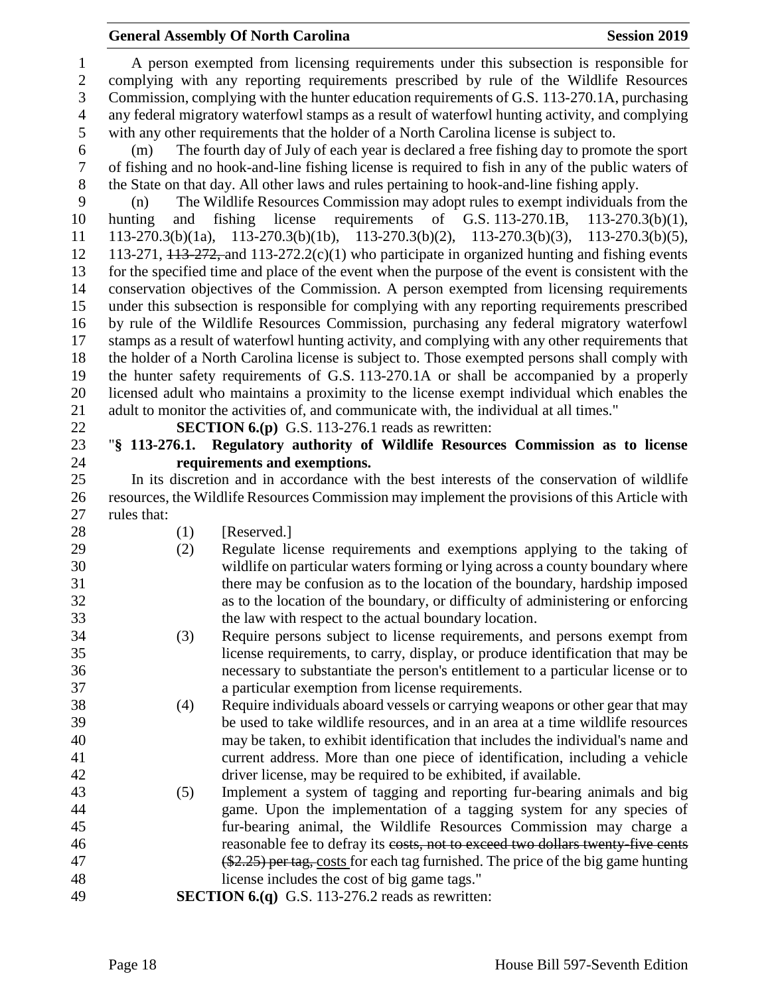A person exempted from licensing requirements under this subsection is responsible for complying with any reporting requirements prescribed by rule of the Wildlife Resources Commission, complying with the hunter education requirements of G.S. 113-270.1A, purchasing any federal migratory waterfowl stamps as a result of waterfowl hunting activity, and complying with any other requirements that the holder of a North Carolina license is subject to.

 (m) The fourth day of July of each year is declared a free fishing day to promote the sport of fishing and no hook-and-line fishing license is required to fish in any of the public waters of the State on that day. All other laws and rules pertaining to hook-and-line fishing apply.

 (n) The Wildlife Resources Commission may adopt rules to exempt individuals from the hunting and fishing license requirements of G.S. 113-270.1B, 113-270.3(b)(1), 113-270.3(b)(1a), 113-270.3(b)(1b), 113-270.3(b)(2), 113-270.3(b)(3), 113-270.3(b)(5), 12 113-271,  $\overline{113-272}$ , and  $\overline{113-272}$ .  $\overline{2}(c)(1)$  who participate in organized hunting and fishing events for the specified time and place of the event when the purpose of the event is consistent with the conservation objectives of the Commission. A person exempted from licensing requirements under this subsection is responsible for complying with any reporting requirements prescribed by rule of the Wildlife Resources Commission, purchasing any federal migratory waterfowl stamps as a result of waterfowl hunting activity, and complying with any other requirements that the holder of a North Carolina license is subject to. Those exempted persons shall comply with the hunter safety requirements of G.S. 113-270.1A or shall be accompanied by a properly licensed adult who maintains a proximity to the license exempt individual which enables the adult to monitor the activities of, and communicate with, the individual at all times."

# **SECTION 6.(p)** G.S. 113-276.1 reads as rewritten:

## "**§ 113-276.1. Regulatory authority of Wildlife Resources Commission as to license requirements and exemptions.**

 In its discretion and in accordance with the best interests of the conservation of wildlife resources, the Wildlife Resources Commission may implement the provisions of this Article with rules that:

- 
- 28 (1) [Reserved.]
- (2) Regulate license requirements and exemptions applying to the taking of wildlife on particular waters forming or lying across a county boundary where there may be confusion as to the location of the boundary, hardship imposed as to the location of the boundary, or difficulty of administering or enforcing the law with respect to the actual boundary location.
- (3) Require persons subject to license requirements, and persons exempt from license requirements, to carry, display, or produce identification that may be necessary to substantiate the person's entitlement to a particular license or to a particular exemption from license requirements.
- (4) Require individuals aboard vessels or carrying weapons or other gear that may be used to take wildlife resources, and in an area at a time wildlife resources may be taken, to exhibit identification that includes the individual's name and current address. More than one piece of identification, including a vehicle driver license, may be required to be exhibited, if available.
- (5) Implement a system of tagging and reporting fur-bearing animals and big game. Upon the implementation of a tagging system for any species of fur-bearing animal, the Wildlife Resources Commission may charge a reasonable fee to defray its costs, not to exceed two dollars twenty-five cents (\$2.25) per tag, costs for each tag furnished. The price of the big game hunting license includes the cost of big game tags."
- **SECTION 6.(q)** G.S. 113-276.2 reads as rewritten: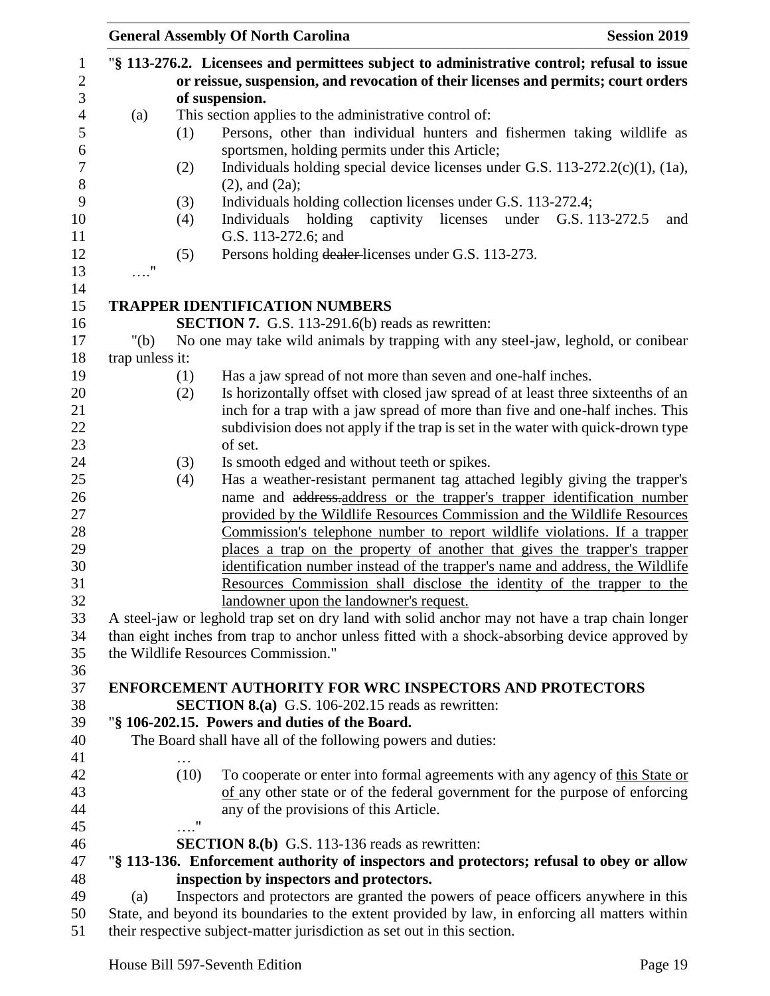|                 |      | <b>General Assembly Of North Carolina</b>                                                                                                                     | <b>Session 2019</b>         |
|-----------------|------|---------------------------------------------------------------------------------------------------------------------------------------------------------------|-----------------------------|
|                 |      | "§ 113-276.2. Licensees and permittees subject to administrative control; refusal to issue                                                                    |                             |
|                 |      | or reissue, suspension, and revocation of their licenses and permits; court orders                                                                            |                             |
|                 |      | of suspension.                                                                                                                                                |                             |
| (a)             |      | This section applies to the administrative control of:                                                                                                        |                             |
|                 | (1)  | Persons, other than individual hunters and fishermen taking wildlife as                                                                                       |                             |
|                 |      | sportsmen, holding permits under this Article;                                                                                                                |                             |
|                 | (2)  | Individuals holding special device licenses under G.S. $113-272.2(c)(1)$ , $(1a)$ ,                                                                           |                             |
|                 |      | $(2)$ , and $(2a)$ ;                                                                                                                                          |                             |
|                 | (3)  | Individuals holding collection licenses under G.S. 113-272.4;                                                                                                 |                             |
|                 | (4)  | captivity licenses<br>Individuals<br>holding                                                                                                                  | under G.S. 113-272.5<br>and |
|                 |      | G.S. 113-272.6; and                                                                                                                                           |                             |
| 11              | (5)  | Persons holding dealer-licenses under G.S. 113-273.                                                                                                           |                             |
|                 |      |                                                                                                                                                               |                             |
|                 |      | <b>TRAPPER IDENTIFICATION NUMBERS</b>                                                                                                                         |                             |
|                 |      | <b>SECTION 7.</b> G.S. 113-291.6(b) reads as rewritten:                                                                                                       |                             |
| " $(b)$         |      | No one may take wild animals by trapping with any steel-jaw, leghold, or conibear                                                                             |                             |
| trap unless it: |      |                                                                                                                                                               |                             |
|                 | (1)  | Has a jaw spread of not more than seven and one-half inches.                                                                                                  |                             |
|                 | (2)  | Is horizontally offset with closed jaw spread of at least three sixteenths of an                                                                              |                             |
|                 |      | inch for a trap with a jaw spread of more than five and one-half inches. This                                                                                 |                             |
|                 |      | subdivision does not apply if the trap is set in the water with quick-drown type                                                                              |                             |
|                 |      | of set.                                                                                                                                                       |                             |
|                 | (3)  | Is smooth edged and without teeth or spikes.                                                                                                                  |                             |
|                 | (4)  | Has a weather-resistant permanent tag attached legibly giving the trapper's                                                                                   |                             |
|                 |      | name and address-address or the trapper's trapper identification number                                                                                       |                             |
|                 |      | provided by the Wildlife Resources Commission and the Wildlife Resources                                                                                      |                             |
|                 |      | <u>Commission's telephone number to report wildlife violations. If a trapper</u><br>places a trap on the property of another that gives the trapper's trapper |                             |
|                 |      | identification number instead of the trapper's name and address, the Wildlife                                                                                 |                             |
|                 |      | Resources Commission shall disclose the identity of the trapper to the                                                                                        |                             |
|                 |      | landowner upon the landowner's request.                                                                                                                       |                             |
|                 |      | A steel-jaw or leghold trap set on dry land with solid anchor may not have a trap chain longer                                                                |                             |
|                 |      | than eight inches from trap to anchor unless fitted with a shock-absorbing device approved by                                                                 |                             |
|                 |      | the Wildlife Resources Commission."                                                                                                                           |                             |
|                 |      |                                                                                                                                                               |                             |
|                 |      | <b>ENFORCEMENT AUTHORITY FOR WRC INSPECTORS AND PROTECTORS</b>                                                                                                |                             |
|                 |      | <b>SECTION 8.(a)</b> G.S. 106-202.15 reads as rewritten:                                                                                                      |                             |
|                 |      | "§ 106-202.15. Powers and duties of the Board.                                                                                                                |                             |
|                 |      | The Board shall have all of the following powers and duties:                                                                                                  |                             |
|                 |      |                                                                                                                                                               |                             |
|                 | (10) | To cooperate or enter into formal agreements with any agency of this State or                                                                                 |                             |
|                 |      | of any other state or of the federal government for the purpose of enforcing<br>any of the provisions of this Article.                                        |                             |
|                 | . "  |                                                                                                                                                               |                             |
|                 |      | <b>SECTION 8.(b)</b> G.S. 113-136 reads as rewritten:                                                                                                         |                             |
|                 |      | "§ 113-136. Enforcement authority of inspectors and protectors; refusal to obey or allow                                                                      |                             |
|                 |      | inspection by inspectors and protectors.                                                                                                                      |                             |
| (a)             |      | Inspectors and protectors are granted the powers of peace officers anywhere in this                                                                           |                             |
|                 |      | State, and beyond its boundaries to the extent provided by law, in enforcing all matters within                                                               |                             |
|                 |      |                                                                                                                                                               |                             |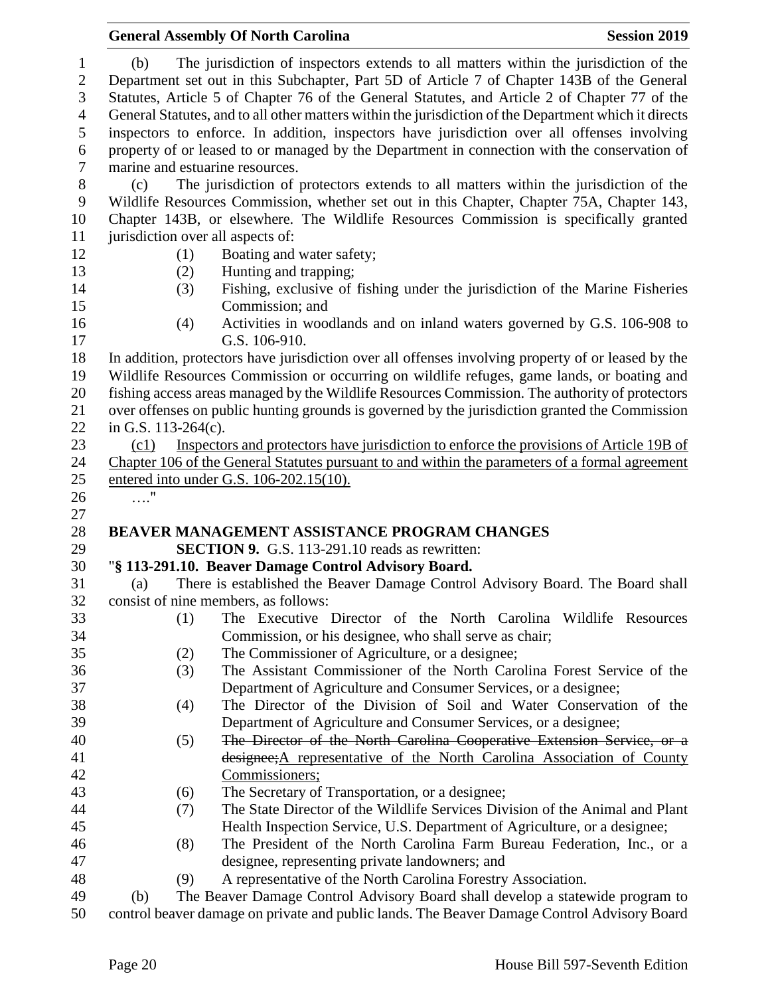|                                                                    |                                   | <b>General Assembly Of North Carolina</b>                                                                                                                                                                                                                                                                                                                                                    | <b>Session 2019</b> |
|--------------------------------------------------------------------|-----------------------------------|----------------------------------------------------------------------------------------------------------------------------------------------------------------------------------------------------------------------------------------------------------------------------------------------------------------------------------------------------------------------------------------------|---------------------|
| $\mathbf{1}$<br>$\overline{2}$<br>$\mathfrak{Z}$<br>$\overline{4}$ | (b)                               | The jurisdiction of inspectors extends to all matters within the jurisdiction of the<br>Department set out in this Subchapter, Part 5D of Article 7 of Chapter 143B of the General<br>Statutes, Article 5 of Chapter 76 of the General Statutes, and Article 2 of Chapter 77 of the<br>General Statutes, and to all other matters within the jurisdiction of the Department which it directs |                     |
| 5                                                                  |                                   | inspectors to enforce. In addition, inspectors have jurisdiction over all offenses involving                                                                                                                                                                                                                                                                                                 |                     |
| 6                                                                  |                                   | property of or leased to or managed by the Department in connection with the conservation of                                                                                                                                                                                                                                                                                                 |                     |
| $\boldsymbol{7}$                                                   | marine and estuarine resources.   |                                                                                                                                                                                                                                                                                                                                                                                              |                     |
| $8\,$<br>9                                                         | (c)                               | The jurisdiction of protectors extends to all matters within the jurisdiction of the<br>Wildlife Resources Commission, whether set out in this Chapter, Chapter 75A, Chapter 143,                                                                                                                                                                                                            |                     |
| 10                                                                 |                                   | Chapter 143B, or elsewhere. The Wildlife Resources Commission is specifically granted                                                                                                                                                                                                                                                                                                        |                     |
| 11                                                                 | jurisdiction over all aspects of: |                                                                                                                                                                                                                                                                                                                                                                                              |                     |
| 12                                                                 | (1)                               | Boating and water safety;                                                                                                                                                                                                                                                                                                                                                                    |                     |
| 13                                                                 | (2)                               | Hunting and trapping;                                                                                                                                                                                                                                                                                                                                                                        |                     |
| 14                                                                 | (3)                               | Fishing, exclusive of fishing under the jurisdiction of the Marine Fisheries                                                                                                                                                                                                                                                                                                                 |                     |
| 15                                                                 |                                   | Commission; and                                                                                                                                                                                                                                                                                                                                                                              |                     |
| 16                                                                 | (4)                               | Activities in woodlands and on inland waters governed by G.S. 106-908 to                                                                                                                                                                                                                                                                                                                     |                     |
| 17                                                                 |                                   | G.S. 106-910.                                                                                                                                                                                                                                                                                                                                                                                |                     |
| 18                                                                 |                                   | In addition, protectors have jurisdiction over all offenses involving property of or leased by the                                                                                                                                                                                                                                                                                           |                     |
| 19                                                                 |                                   | Wildlife Resources Commission or occurring on wildlife refuges, game lands, or boating and                                                                                                                                                                                                                                                                                                   |                     |
| 20                                                                 |                                   | fishing access areas managed by the Wildlife Resources Commission. The authority of protectors                                                                                                                                                                                                                                                                                               |                     |
| 21                                                                 |                                   | over offenses on public hunting grounds is governed by the jurisdiction granted the Commission                                                                                                                                                                                                                                                                                               |                     |
| 22                                                                 | in G.S. $113-264(c)$ .            |                                                                                                                                                                                                                                                                                                                                                                                              |                     |
| 23                                                                 | (c1)                              | Inspectors and protectors have jurisdiction to enforce the provisions of Article 19B of                                                                                                                                                                                                                                                                                                      |                     |
| 24                                                                 |                                   | Chapter 106 of the General Statutes pursuant to and within the parameters of a formal agreement                                                                                                                                                                                                                                                                                              |                     |
| 25                                                                 |                                   | entered into under G.S. 106-202.15(10).                                                                                                                                                                                                                                                                                                                                                      |                     |
| 26                                                                 | $\ldots$ "                        |                                                                                                                                                                                                                                                                                                                                                                                              |                     |
| 27                                                                 |                                   |                                                                                                                                                                                                                                                                                                                                                                                              |                     |
| 28                                                                 |                                   | <b>BEAVER MANAGEMENT ASSISTANCE PROGRAM CHANGES</b>                                                                                                                                                                                                                                                                                                                                          |                     |
| 29                                                                 |                                   | <b>SECTION 9.</b> G.S. 113-291.10 reads as rewritten:                                                                                                                                                                                                                                                                                                                                        |                     |
| 30                                                                 |                                   | "§ 113-291.10. Beaver Damage Control Advisory Board.                                                                                                                                                                                                                                                                                                                                         |                     |
| 31                                                                 | (a)                               | There is established the Beaver Damage Control Advisory Board. The Board shall                                                                                                                                                                                                                                                                                                               |                     |
| 32                                                                 |                                   | consist of nine members, as follows:                                                                                                                                                                                                                                                                                                                                                         |                     |
| 33                                                                 | (1)                               | The Executive Director of the North Carolina Wildlife Resources                                                                                                                                                                                                                                                                                                                              |                     |
| 34                                                                 |                                   | Commission, or his designee, who shall serve as chair;                                                                                                                                                                                                                                                                                                                                       |                     |
| 35                                                                 | (2)                               | The Commissioner of Agriculture, or a designee;                                                                                                                                                                                                                                                                                                                                              |                     |
| 36                                                                 | (3)                               | The Assistant Commissioner of the North Carolina Forest Service of the                                                                                                                                                                                                                                                                                                                       |                     |
| 37                                                                 |                                   | Department of Agriculture and Consumer Services, or a designee;                                                                                                                                                                                                                                                                                                                              |                     |
| 38                                                                 | (4)                               | The Director of the Division of Soil and Water Conservation of the                                                                                                                                                                                                                                                                                                                           |                     |
| 39                                                                 |                                   | Department of Agriculture and Consumer Services, or a designee;                                                                                                                                                                                                                                                                                                                              |                     |
| 40                                                                 | (5)                               | The Director of the North Carolina Cooperative Extension Service, or a                                                                                                                                                                                                                                                                                                                       |                     |
| 41                                                                 |                                   | designee; A representative of the North Carolina Association of County                                                                                                                                                                                                                                                                                                                       |                     |
| 42                                                                 |                                   | Commissioners;                                                                                                                                                                                                                                                                                                                                                                               |                     |
| 43                                                                 | (6)                               | The Secretary of Transportation, or a designee;                                                                                                                                                                                                                                                                                                                                              |                     |
| 44                                                                 | (7)                               | The State Director of the Wildlife Services Division of the Animal and Plant                                                                                                                                                                                                                                                                                                                 |                     |
| 45                                                                 |                                   | Health Inspection Service, U.S. Department of Agriculture, or a designee;                                                                                                                                                                                                                                                                                                                    |                     |
| 46                                                                 | (8)                               | The President of the North Carolina Farm Bureau Federation, Inc., or a                                                                                                                                                                                                                                                                                                                       |                     |
| 47                                                                 |                                   | designee, representing private landowners; and                                                                                                                                                                                                                                                                                                                                               |                     |
| 48                                                                 | (9)                               | A representative of the North Carolina Forestry Association.                                                                                                                                                                                                                                                                                                                                 |                     |
| 49                                                                 | (b)                               | The Beaver Damage Control Advisory Board shall develop a statewide program to                                                                                                                                                                                                                                                                                                                |                     |
| 50                                                                 |                                   | control beaver damage on private and public lands. The Beaver Damage Control Advisory Board                                                                                                                                                                                                                                                                                                  |                     |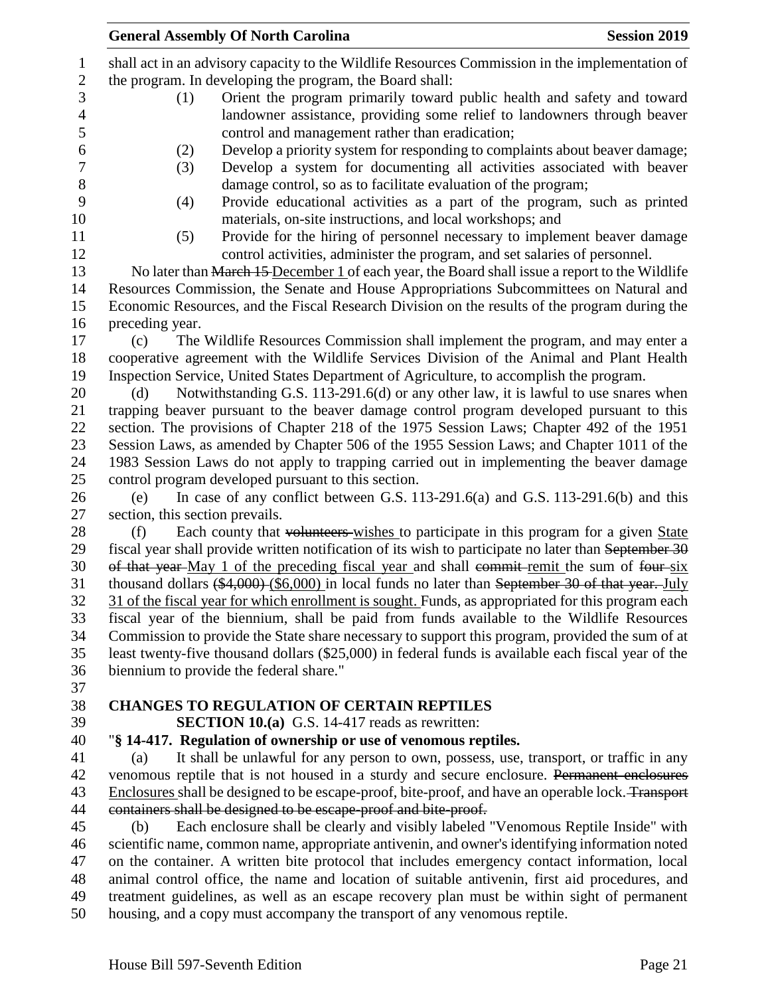|                | <b>General Assembly Of North Carolina</b>                                                                                                                                                       | <b>Session 2019</b> |
|----------------|-------------------------------------------------------------------------------------------------------------------------------------------------------------------------------------------------|---------------------|
| $\mathbf{1}$   | shall act in an advisory capacity to the Wildlife Resources Commission in the implementation of                                                                                                 |                     |
| $\sqrt{2}$     | the program. In developing the program, the Board shall:                                                                                                                                        |                     |
| 3              | Orient the program primarily toward public health and safety and toward<br>(1)                                                                                                                  |                     |
| $\overline{4}$ | landowner assistance, providing some relief to landowners through beaver                                                                                                                        |                     |
| $\mathfrak s$  | control and management rather than eradication;                                                                                                                                                 |                     |
| 6              | (2)<br>Develop a priority system for responding to complaints about beaver damage;                                                                                                              |                     |
| $\tau$         | Develop a system for documenting all activities associated with beaver<br>(3)                                                                                                                   |                     |
| $8\,$          | damage control, so as to facilitate evaluation of the program;                                                                                                                                  |                     |
| 9              | Provide educational activities as a part of the program, such as printed<br>(4)                                                                                                                 |                     |
| 10             | materials, on-site instructions, and local workshops; and                                                                                                                                       |                     |
| 11             | Provide for the hiring of personnel necessary to implement beaver damage<br>(5)                                                                                                                 |                     |
| 12             | control activities, administer the program, and set salaries of personnel.                                                                                                                      |                     |
| 13             | No later than March 15 December 1 of each year, the Board shall issue a report to the Wildlife                                                                                                  |                     |
| 14             | Resources Commission, the Senate and House Appropriations Subcommittees on Natural and                                                                                                          |                     |
| 15             | Economic Resources, and the Fiscal Research Division on the results of the program during the                                                                                                   |                     |
| 16             | preceding year.                                                                                                                                                                                 |                     |
| 17             | The Wildlife Resources Commission shall implement the program, and may enter a<br>(c)                                                                                                           |                     |
| 18             | cooperative agreement with the Wildlife Services Division of the Animal and Plant Health                                                                                                        |                     |
| 19             | Inspection Service, United States Department of Agriculture, to accomplish the program.                                                                                                         |                     |
| 20             | Notwithstanding G.S. 113-291.6(d) or any other law, it is lawful to use snares when<br>(d)                                                                                                      |                     |
| 21             | trapping beaver pursuant to the beaver damage control program developed pursuant to this                                                                                                        |                     |
| 22             | section. The provisions of Chapter 218 of the 1975 Session Laws; Chapter 492 of the 1951                                                                                                        |                     |
| 23             | Session Laws, as amended by Chapter 506 of the 1955 Session Laws; and Chapter 1011 of the                                                                                                       |                     |
| 24             | 1983 Session Laws do not apply to trapping carried out in implementing the beaver damage                                                                                                        |                     |
| 25             | control program developed pursuant to this section.                                                                                                                                             |                     |
| 26             | In case of any conflict between G.S. 113-291.6(a) and G.S. 113-291.6(b) and this<br>(e)                                                                                                         |                     |
| 27             | section, this section prevails.                                                                                                                                                                 |                     |
| 28             | Each county that volunteers wishes to participate in this program for a given State<br>(f)                                                                                                      |                     |
| 29             | fiscal year shall provide written notification of its wish to participate no later than September 30                                                                                            |                     |
| 30             | of that year-May 1 of the preceding fiscal year and shall commit-remit the sum of four-six                                                                                                      |                     |
| 31             | thousand dollars $(*4,000)$ (\$6,000) in local funds no later than September 30 of that year. July                                                                                              |                     |
| 32             | 31 of the fiscal year for which enrollment is sought. Funds, as appropriated for this program each                                                                                              |                     |
| 33             | fiscal year of the biennium, shall be paid from funds available to the Wildlife Resources                                                                                                       |                     |
| 34             | Commission to provide the State share necessary to support this program, provided the sum of at                                                                                                 |                     |
| 35             | least twenty-five thousand dollars (\$25,000) in federal funds is available each fiscal year of the                                                                                             |                     |
| 36             | biennium to provide the federal share."                                                                                                                                                         |                     |
| 37             |                                                                                                                                                                                                 |                     |
| 38             | <b>CHANGES TO REGULATION OF CERTAIN REPTILES</b>                                                                                                                                                |                     |
| 39             | <b>SECTION 10.(a)</b> G.S. 14-417 reads as rewritten:                                                                                                                                           |                     |
| 40             | "§ 14-417. Regulation of ownership or use of venomous reptiles.                                                                                                                                 |                     |
| 41<br>42       | It shall be unlawful for any person to own, possess, use, transport, or traffic in any<br>(a)                                                                                                   |                     |
|                | venomous reptile that is not housed in a sturdy and secure enclosure. Permanent enclosures<br>Enclosures shall be designed to be escape-proof, bite-proof, and have an operable lock. Transport |                     |
| 43<br>44       | containers shall be designed to be escape-proof and bite-proof.                                                                                                                                 |                     |
| 45             | Each enclosure shall be clearly and visibly labeled "Venomous Reptile Inside" with<br>(b)                                                                                                       |                     |
| 46             | scientific name, common name, appropriate antivenin, and owner's identifying information noted                                                                                                  |                     |
| 47             | on the container. A written bite protocol that includes emergency contact information, local                                                                                                    |                     |
| 48             | animal control office, the name and location of suitable antivenin, first aid procedures, and                                                                                                   |                     |
| 49             | treatment guidelines, as well as an escape recovery plan must be within sight of permanent                                                                                                      |                     |
| 50             | housing, and a copy must accompany the transport of any venomous reptile.                                                                                                                       |                     |
|                |                                                                                                                                                                                                 |                     |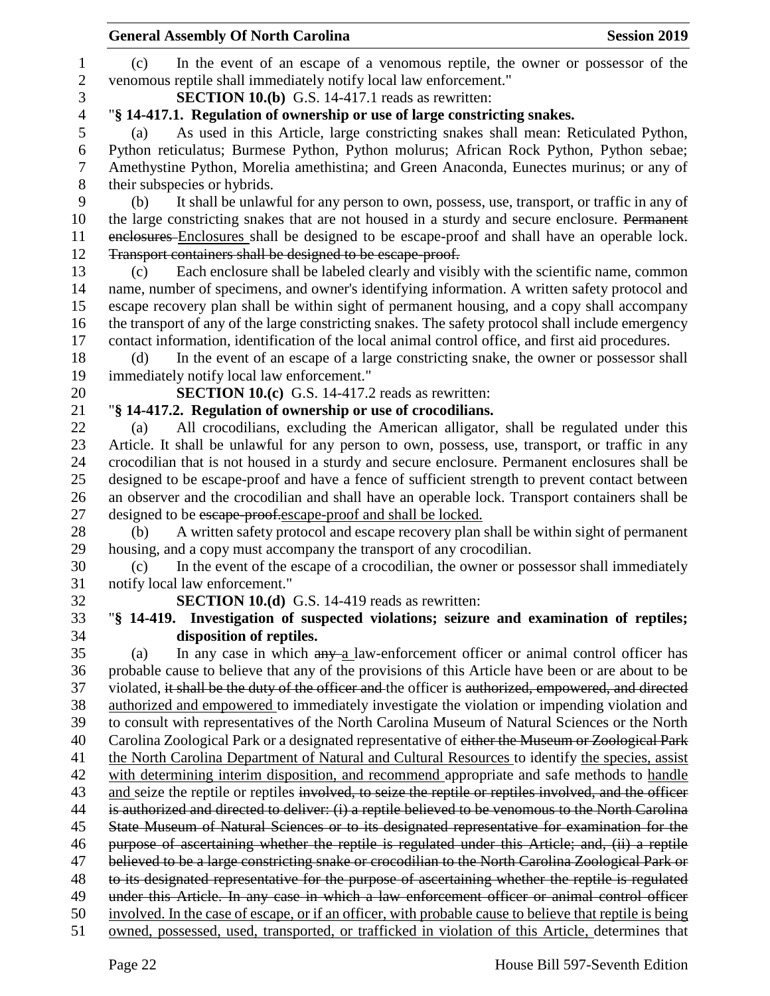|                | <b>General Assembly Of North Carolina</b><br><b>Session 2019</b>                                                                                                                              |
|----------------|-----------------------------------------------------------------------------------------------------------------------------------------------------------------------------------------------|
| 1              | In the event of an escape of a venomous reptile, the owner or possessor of the<br>(c)                                                                                                         |
| $\mathbf{2}$   | venomous reptile shall immediately notify local law enforcement."                                                                                                                             |
| 3              | <b>SECTION 10.(b)</b> G.S. 14-417.1 reads as rewritten:                                                                                                                                       |
| $\overline{4}$ | "§ 14-417.1. Regulation of ownership or use of large constricting snakes.                                                                                                                     |
| 5              | As used in this Article, large constricting snakes shall mean: Reticulated Python,<br>(a)                                                                                                     |
| 6              | Python reticulatus; Burmese Python, Python molurus; African Rock Python, Python sebae;                                                                                                        |
| 7              | Amethystine Python, Morelia amethistina; and Green Anaconda, Eunectes murinus; or any of                                                                                                      |
| 8              | their subspecies or hybrids.                                                                                                                                                                  |
| 9              | It shall be unlawful for any person to own, possess, use, transport, or traffic in any of<br>(b)                                                                                              |
| 10             | the large constricting snakes that are not housed in a sturdy and secure enclosure. Permanent                                                                                                 |
| 11             | enclosures Enclosures shall be designed to be escape-proof and shall have an operable lock.                                                                                                   |
| 12             | Transport containers shall be designed to be escape-proof.                                                                                                                                    |
| 13             | Each enclosure shall be labeled clearly and visibly with the scientific name, common<br>(c)                                                                                                   |
| 14             | name, number of specimens, and owner's identifying information. A written safety protocol and                                                                                                 |
| 15             | escape recovery plan shall be within sight of permanent housing, and a copy shall accompany                                                                                                   |
| 16             | the transport of any of the large constricting snakes. The safety protocol shall include emergency                                                                                            |
| 17             | contact information, identification of the local animal control office, and first aid procedures.                                                                                             |
| 18             | In the event of an escape of a large constricting snake, the owner or possessor shall<br>(d)                                                                                                  |
| 19             | immediately notify local law enforcement."                                                                                                                                                    |
| 20             | SECTION 10.(c) G.S. 14-417.2 reads as rewritten:                                                                                                                                              |
| 21             | "§ 14-417.2. Regulation of ownership or use of crocodilians.                                                                                                                                  |
| 22             | All crocodilians, excluding the American alligator, shall be regulated under this<br>(a)                                                                                                      |
| 23             | Article. It shall be unlawful for any person to own, possess, use, transport, or traffic in any                                                                                               |
| 24             | crocodilian that is not housed in a sturdy and secure enclosure. Permanent enclosures shall be                                                                                                |
| 25             | designed to be escape-proof and have a fence of sufficient strength to prevent contact between                                                                                                |
| 26             | an observer and the crocodilian and shall have an operable lock. Transport containers shall be                                                                                                |
| 27             | designed to be escape-proof.escape-proof and shall be locked.                                                                                                                                 |
| 28             | A written safety protocol and escape recovery plan shall be within sight of permanent<br>(b)                                                                                                  |
| 29             | housing, and a copy must accompany the transport of any crocodilian.                                                                                                                          |
| 30             | In the event of the escape of a crocodilian, the owner or possessor shall immediately<br>(c)                                                                                                  |
| 31             | notify local law enforcement."                                                                                                                                                                |
| 32             | <b>SECTION 10.(d)</b> G.S. 14-419 reads as rewritten:                                                                                                                                         |
| 33             | "§ 14-419. Investigation of suspected violations; seizure and examination of reptiles;                                                                                                        |
| 34             | disposition of reptiles.                                                                                                                                                                      |
| 35             | In any case in which $\frac{any-a}{a}$ law-enforcement officer or animal control officer has<br>(a)                                                                                           |
| 36             | probable cause to believe that any of the provisions of this Article have been or are about to be                                                                                             |
| 37             | violated, it shall be the duty of the officer and the officer is authorized, empowered, and directed                                                                                          |
| 38             | authorized and empowered to immediately investigate the violation or impending violation and                                                                                                  |
| 39             | to consult with representatives of the North Carolina Museum of Natural Sciences or the North                                                                                                 |
| 40             | Carolina Zoological Park or a designated representative of either the Museum or Zoological Park                                                                                               |
| 41<br>42       | the North Carolina Department of Natural and Cultural Resources to identify the species, assist<br>with determining interim disposition, and recommend appropriate and safe methods to handle |
| 43             | and seize the reptile or reptiles involved, to seize the reptile or reptiles involved, and the officer                                                                                        |
| 44             | is authorized and directed to deliver: (i) a reptile believed to be venomous to the North Carolina                                                                                            |
| 45             | State Museum of Natural Sciences or to its designated representative for examination for the                                                                                                  |
| 46             | purpose of ascertaining whether the reptile is regulated under this Article; and, (ii) a reptile                                                                                              |
| 47             | believed to be a large constricting snake or crocodilian to the North Carolina Zoological Park or                                                                                             |
| 48             | to its designated representative for the purpose of ascertaining whether the reptile is regulated                                                                                             |
| 49             | under this Article. In any case in which a law enforcement officer or animal control officer                                                                                                  |
| 50             | involved. In the case of escape, or if an officer, with probable cause to believe that reptile is being                                                                                       |
| 51             | owned, possessed, used, transported, or trafficked in violation of this Article, determines that                                                                                              |
|                |                                                                                                                                                                                               |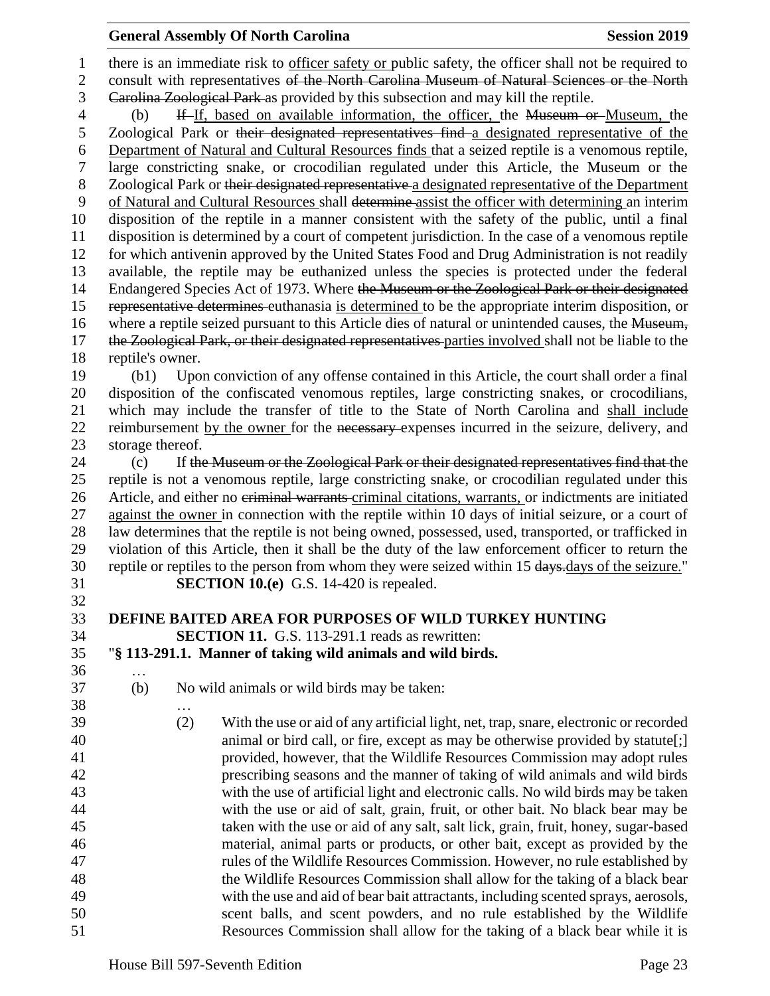## **General Assembly Of North Carolina Session 2019 Session 2019**

1 there is an immediate risk to officer safety or public safety, the officer shall not be required to 2 consult with representatives of the North Carolina Museum of Natural Sciences or the North Carolina Zoological Park as provided by this subsection and may kill the reptile. (b) If If, based on available information, the officer, the Museum or Museum, the Zoological Park or their designated representatives find a designated representative of the Department of Natural and Cultural Resources finds that a seized reptile is a venomous reptile, large constricting snake, or crocodilian regulated under this Article, the Museum or the Zoological Park or their designated representative a designated representative of the Department of Natural and Cultural Resources shall determine assist the officer with determining an interim disposition of the reptile in a manner consistent with the safety of the public, until a final disposition is determined by a court of competent jurisdiction. In the case of a venomous reptile for which antivenin approved by the United States Food and Drug Administration is not readily available, the reptile may be euthanized unless the species is protected under the federal 14 Endangered Species Act of 1973. Where the Museum or the Zoological Park or their designated representative determines euthanasia is determined to be the appropriate interim disposition, or 16 where a reptile seized pursuant to this Article dies of natural or unintended causes, the Museum, 17 the Zoological Park, or their designated representatives-parties involved shall not be liable to the reptile's owner. (b1) Upon conviction of any offense contained in this Article, the court shall order a final disposition of the confiscated venomous reptiles, large constricting snakes, or crocodilians, which may include the transfer of title to the State of North Carolina and shall include 22 reimbursement by the owner for the necessary expenses incurred in the seizure, delivery, and storage thereof. 24 (c) If the Museum or the Zoological Park or their designated representatives find that the reptile is not a venomous reptile, large constricting snake, or crocodilian regulated under this Article, and either no criminal warrants criminal citations, warrants, or indictments are initiated against the owner in connection with the reptile within 10 days of initial seizure, or a court of law determines that the reptile is not being owned, possessed, used, transported, or trafficked in violation of this Article, then it shall be the duty of the law enforcement officer to return the 30 reptile or reptiles to the person from whom they were seized within 15 days.days of the seizure." **SECTION 10.(e)** G.S. 14-420 is repealed. **DEFINE BAITED AREA FOR PURPOSES OF WILD TURKEY HUNTING SECTION 11.** G.S. 113-291.1 reads as rewritten: "**§ 113-291.1. Manner of taking wild animals and wild birds.** … (b) No wild animals or wild birds may be taken: … (2) With the use or aid of any artificial light, net, trap, snare, electronic or recorded animal or bird call, or fire, except as may be otherwise provided by statute[;] provided, however, that the Wildlife Resources Commission may adopt rules prescribing seasons and the manner of taking of wild animals and wild birds with the use of artificial light and electronic calls. No wild birds may be taken with the use or aid of salt, grain, fruit, or other bait. No black bear may be taken with the use or aid of any salt, salt lick, grain, fruit, honey, sugar-based material, animal parts or products, or other bait, except as provided by the rules of the Wildlife Resources Commission. However, no rule established by the Wildlife Resources Commission shall allow for the taking of a black bear with the use and aid of bear bait attractants, including scented sprays, aerosols, scent balls, and scent powders, and no rule established by the Wildlife Resources Commission shall allow for the taking of a black bear while it is